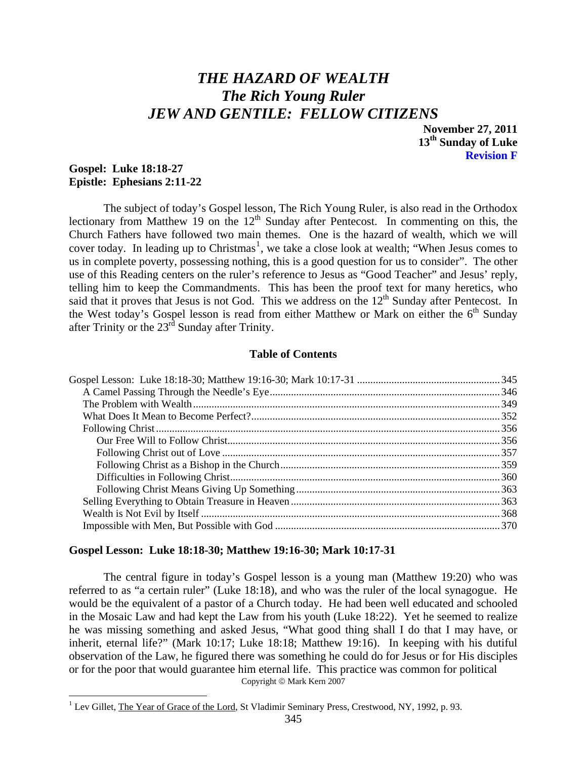# <span id="page-0-1"></span>*THE HAZARD OF WEALTH The Rich Young Ruler JEW AND GENTILE: FELLOW CITIZENS*

**November 27, 2011 13th Sunday of Luke Revision F** 

# **Gospel: Luke 18:18-27 Epistle: Ephesians 2:11-22**

 $\overline{a}$ 

 The subject of today's Gospel lesson, The Rich Young Ruler, is also read in the Orthodox lectionary from Matthew 19 on the  $12<sup>th</sup>$  Sunday after Pentecost. In commenting on this, the Church Fathers have followed two main themes. One is the hazard of wealth, which we will cover today. In leading up to Christmas<sup>[1](#page-0-0)</sup>, we take a close look at wealth; "When Jesus comes to us in complete poverty, possessing nothing, this is a good question for us to consider". The other use of this Reading centers on the ruler's reference to Jesus as "Good Teacher" and Jesus' reply, telling him to keep the Commandments. This has been the proof text for many heretics, who said that it proves that Jesus is not God. This we address on the  $12<sup>th</sup>$  Sunday after Pentecost. In the West today's Gospel lesson is read from either Matthew or Mark on either the  $6<sup>th</sup>$  Sunday after Trinity or the 23rd Sunday after Trinity.

# **Table of Contents**

#### **Gospel Lesson: Luke 18:18-30; Matthew 19:16-30; Mark 10:17-31**

 The central figure in today's Gospel lesson is a young man (Matthew 19:20) who was referred to as "a certain ruler" (Luke 18:18), and who was the ruler of the local synagogue. He would be the equivalent of a pastor of a Church today. He had been well educated and schooled in the Mosaic Law and had kept the Law from his youth (Luke 18:22). Yet he seemed to realize he was missing something and asked Jesus, "What good thing shall I do that I may have, or inherit, eternal life?" (Mark 10:17; Luke 18:18; Matthew 19:16). In keeping with his dutiful observation of the Law, he figured there was something he could do for Jesus or for His disciples or for the poor that would guarantee him eternal life. This practice was common for political Copyright © Mark Kern 2007

<span id="page-0-0"></span><sup>1</sup> Lev Gillet, The Year of Grace of the Lord, St Vladimir Seminary Press, Crestwood, NY, 1992, p. 93.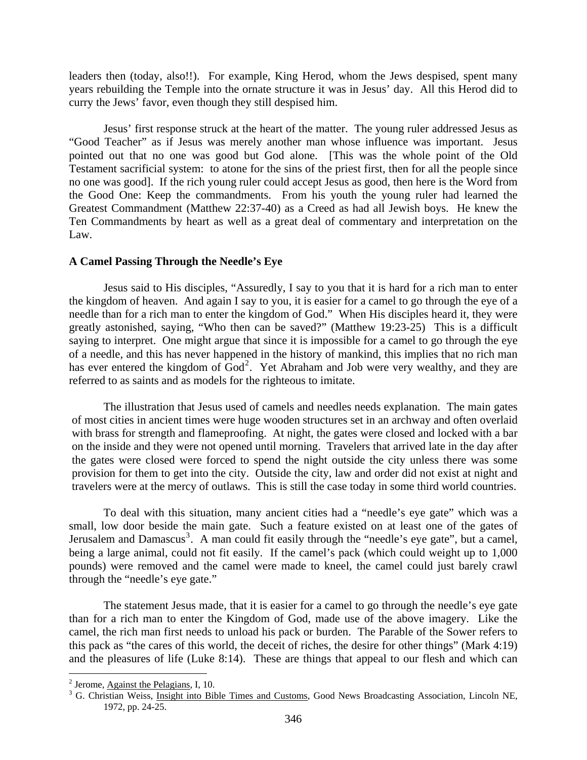<span id="page-1-0"></span>leaders then (today, also!!). For example, King Herod, whom the Jews despised, spent many years rebuilding the Temple into the ornate structure it was in Jesus' day. All this Herod did to curry the Jews' favor, even though they still despised him.

 Jesus' first response struck at the heart of the matter. The young ruler addressed Jesus as "Good Teacher" as if Jesus was merely another man whose influence was important. Jesus pointed out that no one was good but God alone. [This was the whole point of the Old Testament sacrificial system: to atone for the sins of the priest first, then for all the people since no one was good]. If the rich young ruler could accept Jesus as good, then here is the Word from the Good One: Keep the commandments. From his youth the young ruler had learned the Greatest Commandment (Matthew 22:37-40) as a Creed as had all Jewish boys. He knew the Ten Commandments by heart as well as a great deal of commentary and interpretation on the Law.

# **A Camel Passing Through the Needle's Eye**

Jesus said to His disciples, "Assuredly, I say to you that it is hard for a rich man to enter the kingdom of heaven. And again I say to you, it is easier for a camel to go through the eye of a needle than for a rich man to enter the kingdom of God." When His disciples heard it, they were greatly astonished, saying, "Who then can be saved?" (Matthew 19:23-25) This is a difficult saying to interpret. One might argue that since it is impossible for a camel to go through the eye of a needle, and this has never happened in the history of mankind, this implies that no rich man has ever entered the kingdom of  $\text{God}^2$  $\text{God}^2$ . Yet Abraham and Job were very wealthy, and they are referred to as saints and as models for the righteous to imitate.

The illustration that Jesus used of camels and needles needs explanation. The main gates of most cities in ancient times were huge wooden structures set in an archway and often overlaid with brass for strength and flameproofing. At night, the gates were closed and locked with a bar on the inside and they were not opened until morning. Travelers that arrived late in the day after the gates were closed were forced to spend the night outside the city unless there was some provision for them to get into the city. Outside the city, law and order did not exist at night and travelers were at the mercy of outlaws. This is still the case today in some third world countries.

To deal with this situation, many ancient cities had a "needle's eye gate" which was a small, low door beside the main gate. Such a feature existed on at least one of the gates of Jerusalem and Damascus<sup>[3](#page-1-2)</sup>. A man could fit easily through the "needle's eye gate", but a camel, being a large animal, could not fit easily. If the camel's pack (which could weight up to 1,000 pounds) were removed and the camel were made to kneel, the camel could just barely crawl through the "needle's eye gate."

The statement Jesus made, that it is easier for a camel to go through the needle's eye gate than for a rich man to enter the Kingdom of God, made use of the above imagery. Like the camel, the rich man first needs to unload his pack or burden. The Parable of the Sower refers to this pack as "the cares of this world, the deceit of riches, the desire for other things" (Mark 4:19) and the pleasures of life (Luke 8:14). These are things that appeal to our flesh and which can

<span id="page-1-1"></span><sup>&</sup>lt;sup>2</sup> Jerome, <u>Against the Pelagians</u>, I, 10.<br> $\frac{3}{5}$  G. Christian Weige, Insight into Pik

<span id="page-1-2"></span><sup>&</sup>lt;sup>3</sup> G. Christian Weiss, *Insight into Bible Times and Customs*, Good News Broadcasting Association, Lincoln NE, 1972, pp. 24-25.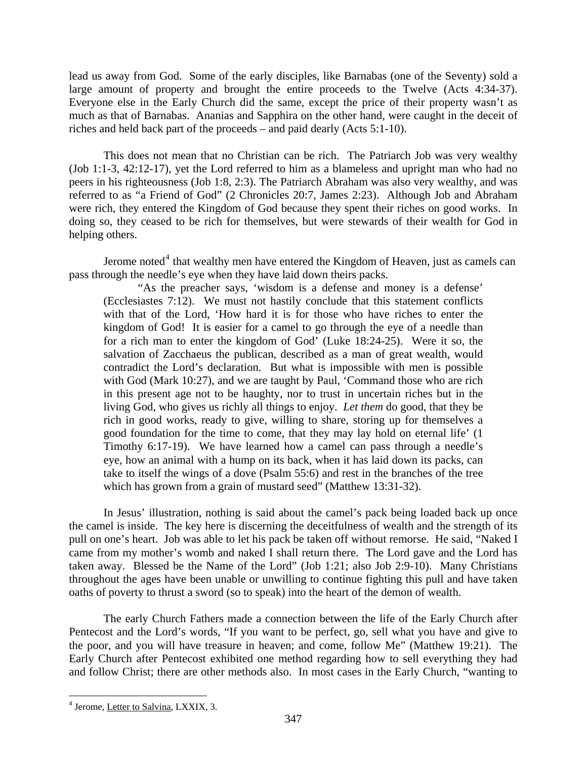lead us away from God. Some of the early disciples, like Barnabas (one of the Seventy) sold a large amount of property and brought the entire proceeds to the Twelve (Acts 4:34-37). Everyone else in the Early Church did the same, except the price of their property wasn't as much as that of Barnabas. Ananias and Sapphira on the other hand, were caught in the deceit of riches and held back part of the proceeds – and paid dearly (Acts 5:1-10).

This does not mean that no Christian can be rich. The Patriarch Job was very wealthy (Job 1:1-3, 42:12-17), yet the Lord referred to him as a blameless and upright man who had no peers in his righteousness (Job 1:8, 2:3). The Patriarch Abraham was also very wealthy, and was referred to as "a Friend of God" (2 Chronicles 20:7, James 2:23). Although Job and Abraham were rich, they entered the Kingdom of God because they spent their riches on good works. In doing so, they ceased to be rich for themselves, but were stewards of their wealth for God in helping others.

Jerome noted<sup>[4](#page-2-0)</sup> that wealthy men have entered the Kingdom of Heaven, just as camels can pass through the needle's eye when they have laid down theirs packs.

"As the preacher says, 'wisdom is a defense and money is a defense' (Ecclesiastes 7:12). We must not hastily conclude that this statement conflicts with that of the Lord, 'How hard it is for those who have riches to enter the kingdom of God! It is easier for a camel to go through the eye of a needle than for a rich man to enter the kingdom of God' (Luke 18:24-25). Were it so, the salvation of Zacchaeus the publican, described as a man of great wealth, would contradict the Lord's declaration. But what is impossible with men is possible with God (Mark 10:27), and we are taught by Paul, 'Command those who are rich in this present age not to be haughty, nor to trust in uncertain riches but in the living God, who gives us richly all things to enjoy. *Let them* do good, that they be rich in good works, ready to give, willing to share, storing up for themselves a good foundation for the time to come, that they may lay hold on eternal life' (1 Timothy 6:17-19). We have learned how a camel can pass through a needle's eye, how an animal with a hump on its back, when it has laid down its packs, can take to itself the wings of a dove (Psalm 55:6) and rest in the branches of the tree which has grown from a grain of mustard seed" (Matthew 13:31-32).

In Jesus' illustration, nothing is said about the camel's pack being loaded back up once the camel is inside. The key here is discerning the deceitfulness of wealth and the strength of its pull on one's heart. Job was able to let his pack be taken off without remorse. He said, "Naked I came from my mother's womb and naked I shall return there. The Lord gave and the Lord has taken away. Blessed be the Name of the Lord" (Job 1:21; also Job 2:9-10). Many Christians throughout the ages have been unable or unwilling to continue fighting this pull and have taken oaths of poverty to thrust a sword (so to speak) into the heart of the demon of wealth.

The early Church Fathers made a connection between the life of the Early Church after Pentecost and the Lord's words, "If you want to be perfect, go, sell what you have and give to the poor, and you will have treasure in heaven; and come, follow Me" (Matthew 19:21). The Early Church after Pentecost exhibited one method regarding how to sell everything they had and follow Christ; there are other methods also. In most cases in the Early Church, "wanting to

<span id="page-2-0"></span> $\overline{a}$ <sup>4</sup> Jerome, Letter to Salvina, LXXIX, 3.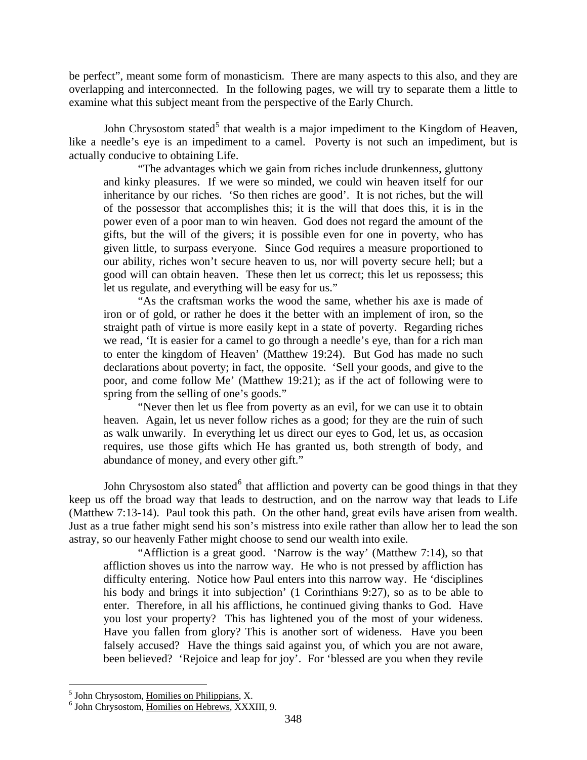be perfect", meant some form of monasticism. There are many aspects to this also, and they are overlapping and interconnected. In the following pages, we will try to separate them a little to examine what this subject meant from the perspective of the Early Church.

John Chrysostom stated<sup>[5](#page-3-0)</sup> that wealth is a major impediment to the Kingdom of Heaven, like a needle's eye is an impediment to a camel. Poverty is not such an impediment, but is actually conducive to obtaining Life.

"The advantages which we gain from riches include drunkenness, gluttony and kinky pleasures. If we were so minded, we could win heaven itself for our inheritance by our riches. 'So then riches are good'. It is not riches, but the will of the possessor that accomplishes this; it is the will that does this, it is in the power even of a poor man to win heaven. God does not regard the amount of the gifts, but the will of the givers; it is possible even for one in poverty, who has given little, to surpass everyone. Since God requires a measure proportioned to our ability, riches won't secure heaven to us, nor will poverty secure hell; but a good will can obtain heaven. These then let us correct; this let us repossess; this let us regulate, and everything will be easy for us."

"As the craftsman works the wood the same, whether his axe is made of iron or of gold, or rather he does it the better with an implement of iron, so the straight path of virtue is more easily kept in a state of poverty. Regarding riches we read, 'It is easier for a camel to go through a needle's eye, than for a rich man to enter the kingdom of Heaven' (Matthew 19:24). But God has made no such declarations about poverty; in fact, the opposite. 'Sell your goods, and give to the poor, and come follow Me' (Matthew 19:21); as if the act of following were to spring from the selling of one's goods."

"Never then let us flee from poverty as an evil, for we can use it to obtain heaven. Again, let us never follow riches as a good; for they are the ruin of such as walk unwarily. In everything let us direct our eyes to God, let us, as occasion requires, use those gifts which He has granted us, both strength of body, and abundance of money, and every other gift."

John Chrysostom also stated <sup>[6](#page-3-1)</sup> that affliction and poverty can be good things in that they keep us off the broad way that leads to destruction, and on the narrow way that leads to Life (Matthew 7:13-14). Paul took this path. On the other hand, great evils have arisen from wealth. Just as a true father might send his son's mistress into exile rather than allow her to lead the son astray, so our heavenly Father might choose to send our wealth into exile.

"Affliction is a great good. 'Narrow is the way' (Matthew 7:14), so that affliction shoves us into the narrow way. He who is not pressed by affliction has difficulty entering. Notice how Paul enters into this narrow way. He 'disciplines his body and brings it into subjection' (1 Corinthians 9:27), so as to be able to enter. Therefore, in all his afflictions, he continued giving thanks to God. Have you lost your property? This has lightened you of the most of your wideness. Have you fallen from glory? This is another sort of wideness. Have you been falsely accused? Have the things said against you, of which you are not aware, been believed? 'Rejoice and leap for joy'. For 'blessed are you when they revile

<sup>&</sup>lt;sup>5</sup> John Chrysostom, <u>Homilies on Philippians,</u> X.<br><sup>6</sup> John Chrysostom, Homilies on Hohrows, XXX

<span id="page-3-1"></span><span id="page-3-0"></span><sup>&</sup>lt;sup>6</sup> John Chrysostom, Homilies on Hebrews, XXXIII, 9.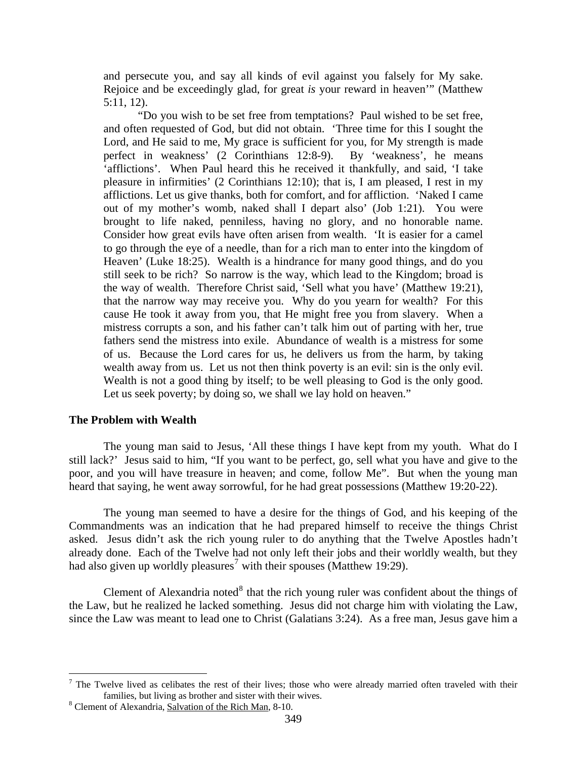<span id="page-4-0"></span>and persecute you, and say all kinds of evil against you falsely for My sake. Rejoice and be exceedingly glad, for great *is* your reward in heaven'" (Matthew 5:11, 12).

"Do you wish to be set free from temptations? Paul wished to be set free, and often requested of God, but did not obtain. 'Three time for this I sought the Lord, and He said to me, My grace is sufficient for you, for My strength is made perfect in weakness' (2 Corinthians 12:8-9). By 'weakness', he means 'afflictions'. When Paul heard this he received it thankfully, and said, 'I take pleasure in infirmities' (2 Corinthians 12:10); that is, I am pleased, I rest in my afflictions. Let us give thanks, both for comfort, and for affliction. 'Naked I came out of my mother's womb, naked shall I depart also' (Job 1:21). You were brought to life naked, penniless, having no glory, and no honorable name. Consider how great evils have often arisen from wealth. 'It is easier for a camel to go through the eye of a needle, than for a rich man to enter into the kingdom of Heaven' (Luke 18:25). Wealth is a hindrance for many good things, and do you still seek to be rich? So narrow is the way, which lead to the Kingdom; broad is the way of wealth. Therefore Christ said, 'Sell what you have' (Matthew 19:21), that the narrow way may receive you. Why do you yearn for wealth? For this cause He took it away from you, that He might free you from slavery. When a mistress corrupts a son, and his father can't talk him out of parting with her, true fathers send the mistress into exile. Abundance of wealth is a mistress for some of us. Because the Lord cares for us, he delivers us from the harm, by taking wealth away from us. Let us not then think poverty is an evil: sin is the only evil. Wealth is not a good thing by itself; to be well pleasing to God is the only good. Let us seek poverty; by doing so, we shall we lay hold on heaven."

#### **The Problem with Wealth**

 $\overline{a}$ 

The young man said to Jesus, 'All these things I have kept from my youth. What do I still lack?' Jesus said to him, "If you want to be perfect, go, sell what you have and give to the poor, and you will have treasure in heaven; and come, follow Me". But when the young man heard that saying, he went away sorrowful, for he had great possessions (Matthew 19:20-22).

The young man seemed to have a desire for the things of God, and his keeping of the Commandments was an indication that he had prepared himself to receive the things Christ asked. Jesus didn't ask the rich young ruler to do anything that the Twelve Apostles hadn't already done. Each of the Twelve had not only left their jobs and their worldly wealth, but they had also given up worldly pleasures<sup>[7](#page-4-1)</sup> with their spouses (Matthew 19:29).

Clement of Alexandria noted $8$  that the rich young ruler was confident about the things of the Law, but he realized he lacked something. Jesus did not charge him with violating the Law, since the Law was meant to lead one to Christ (Galatians 3:24). As a free man, Jesus gave him a

<span id="page-4-1"></span><sup>&</sup>lt;sup>7</sup> The Twelve lived as celibates the rest of their lives; those who were already married often traveled with their families, but living as brother and sister with their wives.

<span id="page-4-2"></span>Clement of Alexandria, Salvation of the Rich Man, 8-10.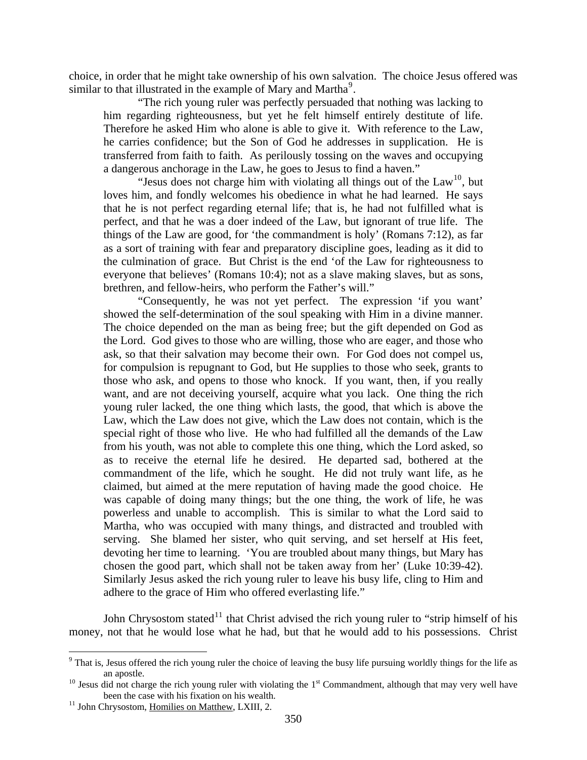choice, in order that he might take ownership of his own salvation. The choice Jesus offered was similar to that illustrated in the example of Mary and Martha<sup>[9](#page-5-0)</sup>.

"The rich young ruler was perfectly persuaded that nothing was lacking to him regarding righteousness, but yet he felt himself entirely destitute of life. Therefore he asked Him who alone is able to give it. With reference to the Law, he carries confidence; but the Son of God he addresses in supplication. He is transferred from faith to faith. As perilously tossing on the waves and occupying a dangerous anchorage in the Law, he goes to Jesus to find a haven."

"Jesus does not charge him with violating all things out of the  $Law<sup>10</sup>$  $Law<sup>10</sup>$  $Law<sup>10</sup>$ , but loves him, and fondly welcomes his obedience in what he had learned. He says that he is not perfect regarding eternal life; that is, he had not fulfilled what is perfect, and that he was a doer indeed of the Law, but ignorant of true life. The things of the Law are good, for 'the commandment is holy' (Romans 7:12), as far as a sort of training with fear and preparatory discipline goes, leading as it did to the culmination of grace. But Christ is the end 'of the Law for righteousness to everyone that believes' (Romans 10:4); not as a slave making slaves, but as sons, brethren, and fellow-heirs, who perform the Father's will."

"Consequently, he was not yet perfect. The expression 'if you want' showed the self-determination of the soul speaking with Him in a divine manner. The choice depended on the man as being free; but the gift depended on God as the Lord. God gives to those who are willing, those who are eager, and those who ask, so that their salvation may become their own. For God does not compel us, for compulsion is repugnant to God, but He supplies to those who seek, grants to those who ask, and opens to those who knock. If you want, then, if you really want, and are not deceiving yourself, acquire what you lack. One thing the rich young ruler lacked, the one thing which lasts, the good, that which is above the Law, which the Law does not give, which the Law does not contain, which is the special right of those who live. He who had fulfilled all the demands of the Law from his youth, was not able to complete this one thing, which the Lord asked, so as to receive the eternal life he desired. He departed sad, bothered at the commandment of the life, which he sought. He did not truly want life, as he claimed, but aimed at the mere reputation of having made the good choice. He was capable of doing many things; but the one thing, the work of life, he was powerless and unable to accomplish. This is similar to what the Lord said to Martha, who was occupied with many things, and distracted and troubled with serving. She blamed her sister, who quit serving, and set herself at His feet, devoting her time to learning. 'You are troubled about many things, but Mary has chosen the good part, which shall not be taken away from her' (Luke 10:39-42). Similarly Jesus asked the rich young ruler to leave his busy life, cling to Him and adhere to the grace of Him who offered everlasting life."

John Chrysostom stated<sup>[11](#page-5-2)</sup> that Christ advised the rich young ruler to "strip himself of his money, not that he would lose what he had, but that he would add to his possessions. Christ

<span id="page-5-0"></span><sup>&</sup>lt;sup>9</sup> That is, Jesus offered the rich young ruler the choice of leaving the busy life pursuing worldly things for the life as an apostle.<br><sup>10</sup> Jesus did not charge the rich young ruler with violating the 1<sup>st</sup> Commandment, although that may very well have

<span id="page-5-1"></span>been the case with his fixation on his wealth.<br><sup>11</sup> John Chrysostom, <u>Homilies on Matthew</u>, LXIII, 2.

<span id="page-5-2"></span>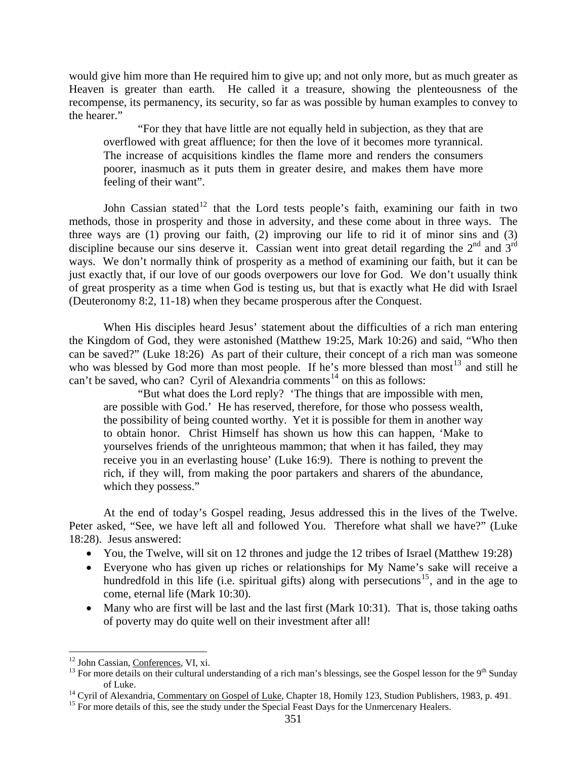would give him more than He required him to give up; and not only more, but as much greater as Heaven is greater than earth. He called it a treasure, showing the plenteousness of the recompense, its permanency, its security, so far as was possible by human examples to convey to the hearer."

"For they that have little are not equally held in subjection, as they that are overflowed with great affluence; for then the love of it becomes more tyrannical. The increase of acquisitions kindles the flame more and renders the consumers poorer, inasmuch as it puts them in greater desire, and makes them have more feeling of their want".

John Cassian stated<sup>[12](#page-6-0)</sup> that the Lord tests people's faith, examining our faith in two methods, those in prosperity and those in adversity, and these come about in three ways. The three ways are (1) proving our faith, (2) improving our life to rid it of minor sins and (3) discipline because our sins deserve it. Cassian went into great detail regarding the  $2<sup>nd</sup>$  and  $3<sup>rd</sup>$ ways. We don't normally think of prosperity as a method of examining our faith, but it can be just exactly that, if our love of our goods overpowers our love for God. We don't usually think of great prosperity as a time when God is testing us, but that is exactly what He did with Israel (Deuteronomy 8:2, 11-18) when they became prosperous after the Conquest.

When His disciples heard Jesus' statement about the difficulties of a rich man entering the Kingdom of God, they were astonished (Matthew 19:25, Mark 10:26) and said, "Who then can be saved?" (Luke 18:26) As part of their culture, their concept of a rich man was someone who was blessed by God more than most people. If he's more blessed than most<sup>[13](#page-6-1)</sup> and still he can't be saved, who can? Cyril of Alexandria comments<sup>[14](#page-6-2)</sup> on this as follows:

"But what does the Lord reply? 'The things that are impossible with men, are possible with God.' He has reserved, therefore, for those who possess wealth, the possibility of being counted worthy. Yet it is possible for them in another way to obtain honor. Christ Himself has shown us how this can happen, 'Make to yourselves friends of the unrighteous mammon; that when it has failed, they may receive you in an everlasting house' (Luke 16:9). There is nothing to prevent the rich, if they will, from making the poor partakers and sharers of the abundance, which they possess."

At the end of today's Gospel reading, Jesus addressed this in the lives of the Twelve. Peter asked, "See, we have left all and followed You. Therefore what shall we have?" (Luke 18:28). Jesus answered:

- You, the Twelve, will sit on 12 thrones and judge the 12 tribes of Israel (Matthew 19:28)
- Everyone who has given up riches or relationships for My Name's sake will receive a hundredfold in this life (i.e. spiritual gifts) along with persecutions<sup>[15](#page-6-3)</sup>, and in the age to come, eternal life (Mark 10:30).
- Many who are first will be last and the last first (Mark 10:31). That is, those taking oaths of poverty may do quite well on their investment after all!

<span id="page-6-0"></span><sup>&</sup>lt;sup>12</sup> John Cassian, Conferences, VI, xi.

<span id="page-6-1"></span><sup>&</sup>lt;sup>13</sup> For more details on their cultural understanding of a rich man's blessings, see the Gospel lesson for the 9<sup>th</sup> Sunday <sup>14</sup> Cyril of Alexandria, <u>Commentary on Gospel of Luke</u>, Chapter 18, Homily 123, Studion Publishers, 1983, p. 491.<br><sup>15</sup> For more details of this, see the study under the Special Feast Days for the Unmercenary Healers.

<span id="page-6-3"></span><span id="page-6-2"></span>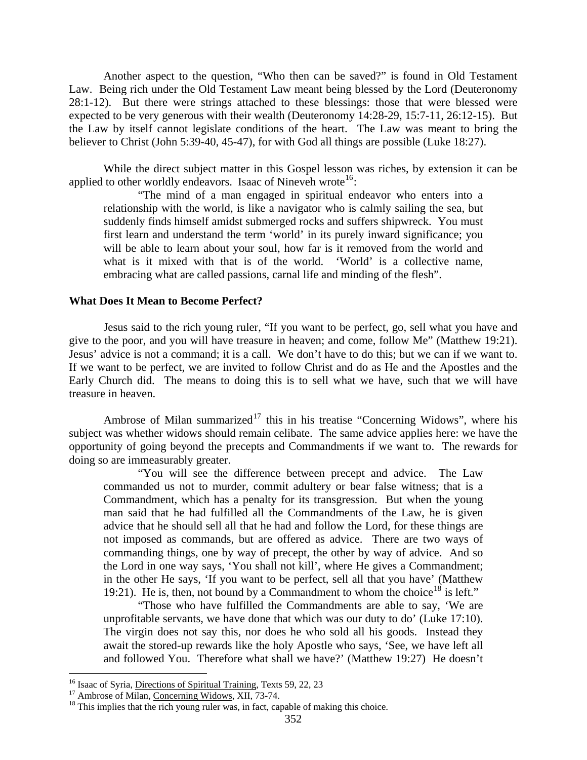<span id="page-7-0"></span>Another aspect to the question, "Who then can be saved?" is found in Old Testament Law. Being rich under the Old Testament Law meant being blessed by the Lord (Deuteronomy 28:1-12). But there were strings attached to these blessings: those that were blessed were expected to be very generous with their wealth (Deuteronomy 14:28-29, 15:7-11, 26:12-15). But the Law by itself cannot legislate conditions of the heart. The Law was meant to bring the believer to Christ (John 5:39-40, 45-47), for with God all things are possible (Luke 18:27).

While the direct subject matter in this Gospel lesson was riches, by extension it can be applied to other worldly endeavors. Isaac of Nineveh wrote<sup>[16](#page-7-1)</sup>:

"The mind of a man engaged in spiritual endeavor who enters into a relationship with the world, is like a navigator who is calmly sailing the sea, but suddenly finds himself amidst submerged rocks and suffers shipwreck. You must first learn and understand the term 'world' in its purely inward significance; you will be able to learn about your soul, how far is it removed from the world and what is it mixed with that is of the world. 'World' is a collective name, embracing what are called passions, carnal life and minding of the flesh".

#### **What Does It Mean to Become Perfect?**

Jesus said to the rich young ruler, "If you want to be perfect, go, sell what you have and give to the poor, and you will have treasure in heaven; and come, follow Me" (Matthew 19:21). Jesus' advice is not a command; it is a call. We don't have to do this; but we can if we want to. If we want to be perfect, we are invited to follow Christ and do as He and the Apostles and the Early Church did. The means to doing this is to sell what we have, such that we will have treasure in heaven.

Ambrose of Milan summarized<sup>[17](#page-7-2)</sup> this in his treatise "Concerning Widows", where his subject was whether widows should remain celibate. The same advice applies here: we have the opportunity of going beyond the precepts and Commandments if we want to. The rewards for doing so are immeasurably greater.

"You will see the difference between precept and advice. The Law commanded us not to murder, commit adultery or bear false witness; that is a Commandment, which has a penalty for its transgression. But when the young man said that he had fulfilled all the Commandments of the Law, he is given advice that he should sell all that he had and follow the Lord, for these things are not imposed as commands, but are offered as advice. There are two ways of commanding things, one by way of precept, the other by way of advice. And so the Lord in one way says, 'You shall not kill', where He gives a Commandment; in the other He says, 'If you want to be perfect, sell all that you have' (Matthew 19:21). He is, then, not bound by a Commandment to whom the choice<sup>[18](#page-7-3)</sup> is left."

"Those who have fulfilled the Commandments are able to say, 'We are unprofitable servants, we have done that which was our duty to do' (Luke 17:10). The virgin does not say this, nor does he who sold all his goods. Instead they await the stored-up rewards like the holy Apostle who says, 'See, we have left all and followed You. Therefore what shall we have?' (Matthew 19:27) He doesn't

<span id="page-7-3"></span><span id="page-7-2"></span>

<span id="page-7-1"></span><sup>&</sup>lt;sup>16</sup> Isaac of Syria, <u>Directions of Spiritual Training</u>, Texts 59, 22, 23<br><sup>17</sup> Ambrose of Milan, <u>Concerning Widows</u>, XII, 73-74.<br><sup>18</sup> This implies that the rich young ruler was, in fact, capable of making this choice.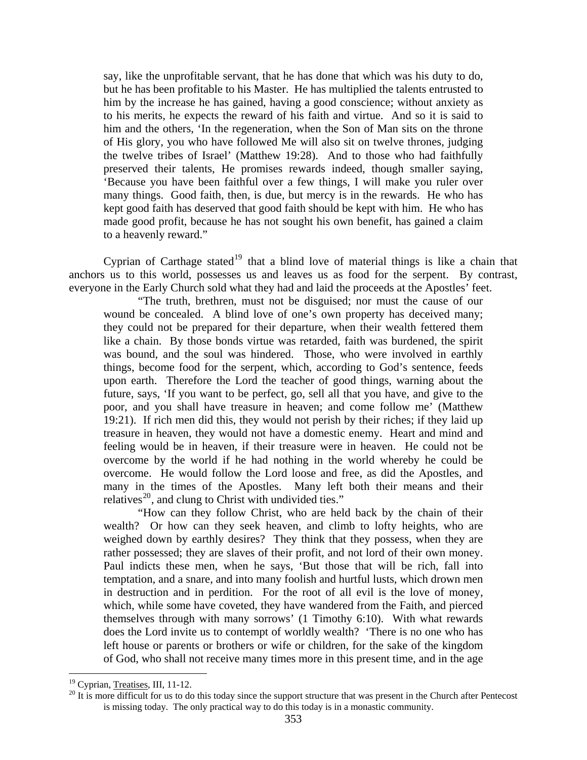say, like the unprofitable servant, that he has done that which was his duty to do, but he has been profitable to his Master. He has multiplied the talents entrusted to him by the increase he has gained, having a good conscience; without anxiety as to his merits, he expects the reward of his faith and virtue. And so it is said to him and the others, 'In the regeneration, when the Son of Man sits on the throne of His glory, you who have followed Me will also sit on twelve thrones, judging the twelve tribes of Israel' (Matthew 19:28). And to those who had faithfully preserved their talents, He promises rewards indeed, though smaller saying, 'Because you have been faithful over a few things, I will make you ruler over many things. Good faith, then, is due, but mercy is in the rewards. He who has kept good faith has deserved that good faith should be kept with him. He who has made good profit, because he has not sought his own benefit, has gained a claim to a heavenly reward."

Cyprian of Carthage stated<sup>[19](#page-8-0)</sup> that a blind love of material things is like a chain that anchors us to this world, possesses us and leaves us as food for the serpent. By contrast, everyone in the Early Church sold what they had and laid the proceeds at the Apostles' feet.

"The truth, brethren, must not be disguised; nor must the cause of our wound be concealed. A blind love of one's own property has deceived many; they could not be prepared for their departure, when their wealth fettered them like a chain. By those bonds virtue was retarded, faith was burdened, the spirit was bound, and the soul was hindered. Those, who were involved in earthly things, become food for the serpent, which, according to God's sentence, feeds upon earth. Therefore the Lord the teacher of good things, warning about the future, says, 'If you want to be perfect, go, sell all that you have, and give to the poor, and you shall have treasure in heaven; and come follow me' (Matthew 19:21). If rich men did this, they would not perish by their riches; if they laid up treasure in heaven, they would not have a domestic enemy. Heart and mind and feeling would be in heaven, if their treasure were in heaven. He could not be overcome by the world if he had nothing in the world whereby he could be overcome. He would follow the Lord loose and free, as did the Apostles, and many in the times of the Apostles. Many left both their means and their relatives<sup>[20](#page-8-1)</sup>, and clung to Christ with undivided ties."

"How can they follow Christ, who are held back by the chain of their wealth? Or how can they seek heaven, and climb to lofty heights, who are weighed down by earthly desires? They think that they possess, when they are rather possessed; they are slaves of their profit, and not lord of their own money. Paul indicts these men, when he says, 'But those that will be rich, fall into temptation, and a snare, and into many foolish and hurtful lusts, which drown men in destruction and in perdition. For the root of all evil is the love of money, which, while some have coveted, they have wandered from the Faith, and pierced themselves through with many sorrows' (1 Timothy 6:10). With what rewards does the Lord invite us to contempt of worldly wealth? 'There is no one who has left house or parents or brothers or wife or children, for the sake of the kingdom of God, who shall not receive many times more in this present time, and in the age

<span id="page-8-1"></span><span id="page-8-0"></span><sup>&</sup>lt;sup>19</sup> Cyprian, Treatises, III, 11-12.<br><sup>20</sup> It is more difficult for us to do this today since the support structure that was present in the Church after Pentecost is missing today. The only practical way to do this today is in a monastic community.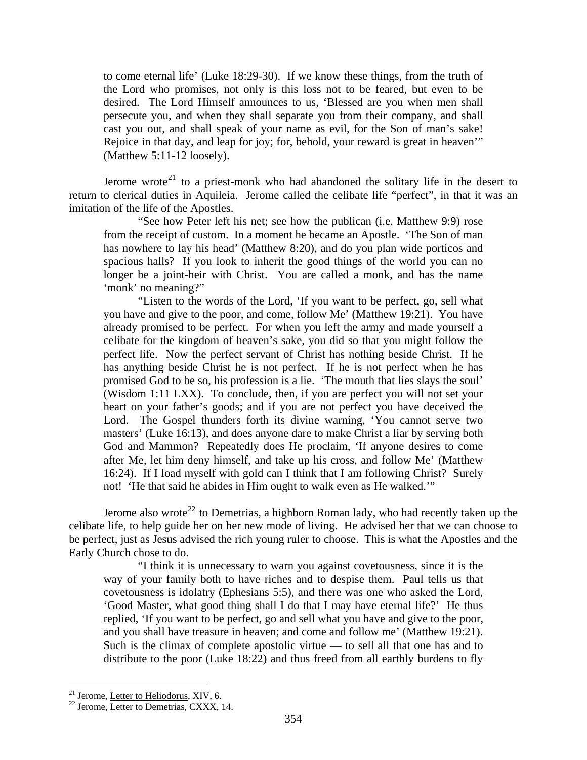to come eternal life' (Luke 18:29-30). If we know these things, from the truth of the Lord who promises, not only is this loss not to be feared, but even to be desired. The Lord Himself announces to us, 'Blessed are you when men shall persecute you, and when they shall separate you from their company, and shall cast you out, and shall speak of your name as evil, for the Son of man's sake! Rejoice in that day, and leap for joy; for, behold, your reward is great in heaven'" (Matthew 5:11-12 loosely).

Jerome wrote<sup>[21](#page-9-0)</sup> to a priest-monk who had abandoned the solitary life in the desert to return to clerical duties in Aquileia. Jerome called the celibate life "perfect", in that it was an imitation of the life of the Apostles.

"See how Peter left his net; see how the publican (i.e. Matthew 9:9) rose from the receipt of custom. In a moment he became an Apostle. 'The Son of man has nowhere to lay his head' (Matthew 8:20), and do you plan wide porticos and spacious halls? If you look to inherit the good things of the world you can no longer be a joint-heir with Christ. You are called a monk, and has the name 'monk' no meaning?"

"Listen to the words of the Lord, 'If you want to be perfect, go, sell what you have and give to the poor, and come, follow Me' (Matthew 19:21). You have already promised to be perfect. For when you left the army and made yourself a celibate for the kingdom of heaven's sake, you did so that you might follow the perfect life. Now the perfect servant of Christ has nothing beside Christ. If he has anything beside Christ he is not perfect. If he is not perfect when he has promised God to be so, his profession is a lie. 'The mouth that lies slays the soul' (Wisdom 1:11 LXX). To conclude, then, if you are perfect you will not set your heart on your father's goods; and if you are not perfect you have deceived the Lord. The Gospel thunders forth its divine warning, 'You cannot serve two masters' (Luke 16:13), and does anyone dare to make Christ a liar by serving both God and Mammon? Repeatedly does He proclaim, 'If anyone desires to come after Me, let him deny himself, and take up his cross, and follow Me' (Matthew 16:24). If I load myself with gold can I think that I am following Christ? Surely not! 'He that said he abides in Him ought to walk even as He walked.'"

Jerome also wrote<sup>[22](#page-9-1)</sup> to Demetrias, a highborn Roman lady, who had recently taken up the celibate life, to help guide her on her new mode of living. He advised her that we can choose to be perfect, just as Jesus advised the rich young ruler to choose. This is what the Apostles and the Early Church chose to do.

"I think it is unnecessary to warn you against covetousness, since it is the way of your family both to have riches and to despise them. Paul tells us that covetousness is idolatry (Ephesians 5:5), and there was one who asked the Lord, 'Good Master, what good thing shall I do that I may have eternal life?' He thus replied, 'If you want to be perfect, go and sell what you have and give to the poor, and you shall have treasure in heaven; and come and follow me' (Matthew 19:21). Such is the climax of complete apostolic virtue — to sell all that one has and to distribute to the poor (Luke 18:22) and thus freed from all earthly burdens to fly

<span id="page-9-0"></span><sup>&</sup>lt;sup>21</sup> Jerome, Letter to Heliodorus, XIV, 6.

<span id="page-9-1"></span> $22$  Jerome, Letter to Demetrias, CXXX, 14.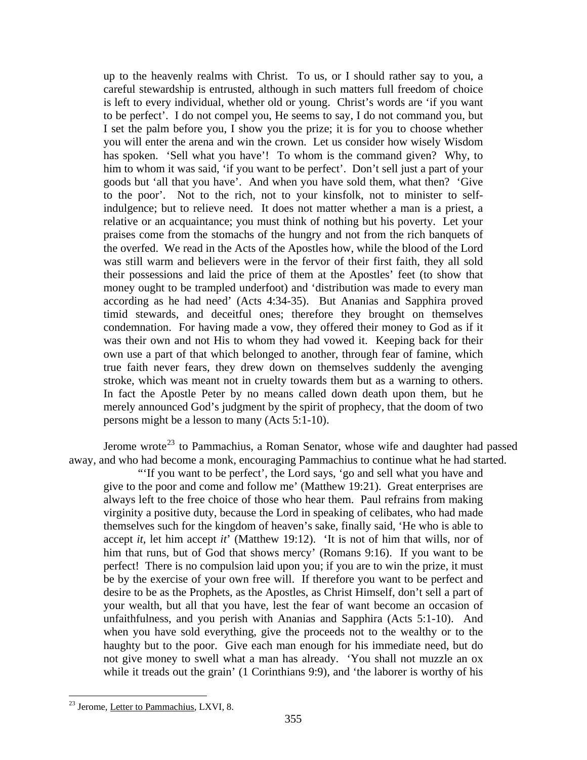up to the heavenly realms with Christ. To us, or I should rather say to you, a careful stewardship is entrusted, although in such matters full freedom of choice is left to every individual, whether old or young. Christ's words are 'if you want to be perfect'. I do not compel you, He seems to say, I do not command you, but I set the palm before you, I show you the prize; it is for you to choose whether you will enter the arena and win the crown. Let us consider how wisely Wisdom has spoken. 'Sell what you have'! To whom is the command given? Why, to him to whom it was said, 'if you want to be perfect'. Don't sell just a part of your goods but 'all that you have'. And when you have sold them, what then? 'Give to the poor'. Not to the rich, not to your kinsfolk, not to minister to selfindulgence; but to relieve need. It does not matter whether a man is a priest, a relative or an acquaintance; you must think of nothing but his poverty. Let your praises come from the stomachs of the hungry and not from the rich banquets of the overfed. We read in the Acts of the Apostles how, while the blood of the Lord was still warm and believers were in the fervor of their first faith, they all sold their possessions and laid the price of them at the Apostles' feet (to show that money ought to be trampled underfoot) and 'distribution was made to every man according as he had need' (Acts 4:34-35). But Ananias and Sapphira proved timid stewards, and deceitful ones; therefore they brought on themselves condemnation. For having made a vow, they offered their money to God as if it was their own and not His to whom they had vowed it. Keeping back for their own use a part of that which belonged to another, through fear of famine, which true faith never fears, they drew down on themselves suddenly the avenging stroke, which was meant not in cruelty towards them but as a warning to others. In fact the Apostle Peter by no means called down death upon them, but he merely announced God's judgment by the spirit of prophecy, that the doom of two persons might be a lesson to many (Acts 5:1-10).

Jerome wrote<sup>[23](#page-10-0)</sup> to Pammachius, a Roman Senator, whose wife and daughter had passed away, and who had become a monk, encouraging Pammachius to continue what he had started.

"'If you want to be perfect', the Lord says, 'go and sell what you have and give to the poor and come and follow me' (Matthew 19:21). Great enterprises are always left to the free choice of those who hear them. Paul refrains from making virginity a positive duty, because the Lord in speaking of celibates, who had made themselves such for the kingdom of heaven's sake, finally said, 'He who is able to accept *it,* let him accept *it*' (Matthew 19:12). 'It is not of him that wills, nor of him that runs, but of God that shows mercy' (Romans 9:16). If you want to be perfect! There is no compulsion laid upon you; if you are to win the prize, it must be by the exercise of your own free will. If therefore you want to be perfect and desire to be as the Prophets, as the Apostles, as Christ Himself, don't sell a part of your wealth, but all that you have, lest the fear of want become an occasion of unfaithfulness, and you perish with Ananias and Sapphira (Acts 5:1-10). And when you have sold everything, give the proceeds not to the wealthy or to the haughty but to the poor. Give each man enough for his immediate need, but do not give money to swell what a man has already. 'You shall not muzzle an ox while it treads out the grain' (1 Corinthians 9:9), and 'the laborer is worthy of his

<span id="page-10-0"></span><sup>&</sup>lt;sup>23</sup> Jerome, Letter to Pammachius, LXVI, 8.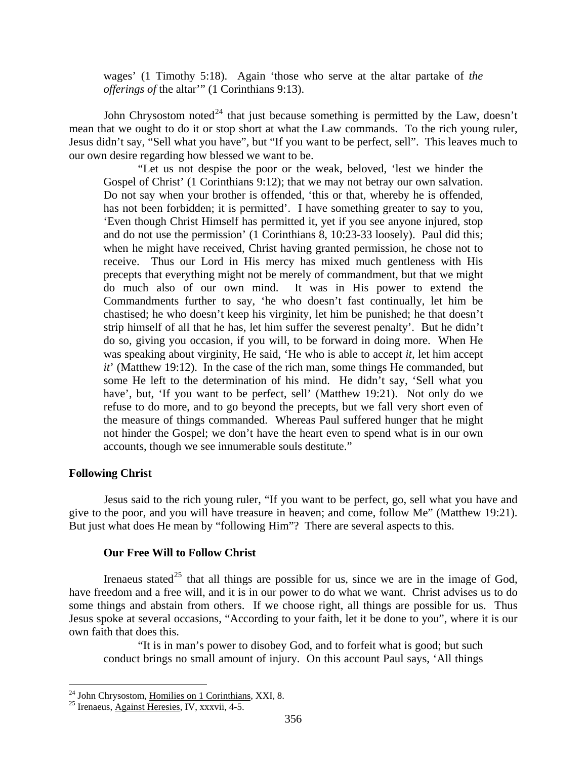<span id="page-11-0"></span>wages' (1 Timothy 5:18). Again 'those who serve at the altar partake of *the offerings of* the altar'" (1 Corinthians 9:13).

John Chrysostom noted<sup>[24](#page-11-1)</sup> that just because something is permitted by the Law, doesn't mean that we ought to do it or stop short at what the Law commands. To the rich young ruler, Jesus didn't say, "Sell what you have", but "If you want to be perfect, sell". This leaves much to our own desire regarding how blessed we want to be.

"Let us not despise the poor or the weak, beloved, 'lest we hinder the Gospel of Christ' (1 Corinthians 9:12); that we may not betray our own salvation. Do not say when your brother is offended, 'this or that, whereby he is offended, has not been forbidden; it is permitted'. I have something greater to say to you, 'Even though Christ Himself has permitted it, yet if you see anyone injured, stop and do not use the permission' (1 Corinthians 8, 10:23-33 loosely). Paul did this; when he might have received, Christ having granted permission, he chose not to receive. Thus our Lord in His mercy has mixed much gentleness with His precepts that everything might not be merely of commandment, but that we might do much also of our own mind. It was in His power to extend the Commandments further to say, 'he who doesn't fast continually, let him be chastised; he who doesn't keep his virginity, let him be punished; he that doesn't strip himself of all that he has, let him suffer the severest penalty'. But he didn't do so, giving you occasion, if you will, to be forward in doing more. When He was speaking about virginity, He said, 'He who is able to accept *it,* let him accept *it*' (Matthew 19:12). In the case of the rich man, some things He commanded, but some He left to the determination of his mind. He didn't say, 'Sell what you have', but, 'If you want to be perfect, sell' (Matthew 19:21). Not only do we refuse to do more, and to go beyond the precepts, but we fall very short even of the measure of things commanded. Whereas Paul suffered hunger that he might not hinder the Gospel; we don't have the heart even to spend what is in our own accounts, though we see innumerable souls destitute."

## **Following Christ**

1

Jesus said to the rich young ruler, "If you want to be perfect, go, sell what you have and give to the poor, and you will have treasure in heaven; and come, follow Me" (Matthew 19:21). But just what does He mean by "following Him"? There are several aspects to this.

#### **Our Free Will to Follow Christ**

own faith that does this. Irenaeus stated<sup>[25](#page-11-2)</sup> that all things are possible for us, since we are in the image of God, have freedom and a free will, and it is in our power to do what we want. Christ advises us to do some things and abstain from others. If we choose right, all things are possible for us. Thus Jesus spoke at several occasions, "According to your faith, let it be done to you", where it is our

"It is in man's power to disobey God, and to forfeit what is good; but such conduct brings no small amount of injury. On this account Paul says, 'All things

<span id="page-11-1"></span><sup>&</sup>lt;sup>24</sup> John Chrysostom, <u>Homilies on 1 Corinthians</u>, XXI, 8.<br><sup>25</sup> Irenaeus, <u>Against Heresies</u>, IV, xxxvii, 4-5.

<span id="page-11-2"></span>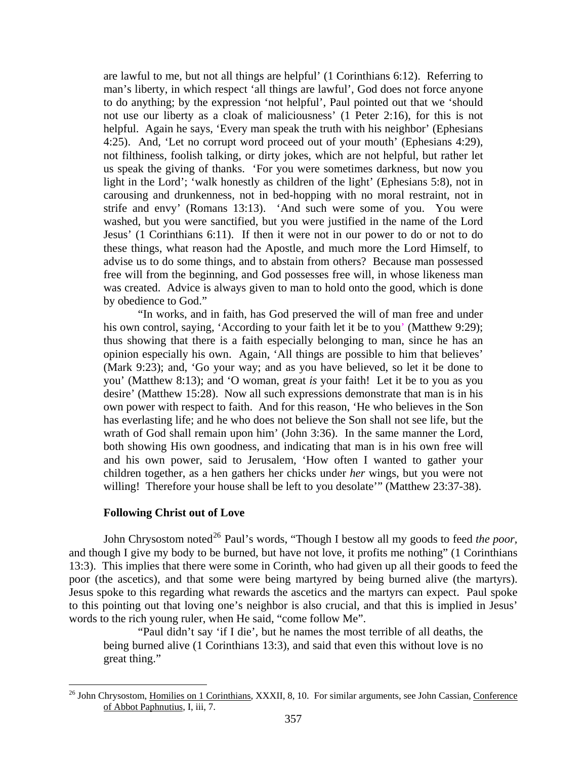<span id="page-12-0"></span>are lawful to me, but not all things are helpful' (1 Corinthians 6:12). Referring to man's liberty, in which respect 'all things are lawful', God does not force anyone to do anything; by the expression 'not helpful', Paul pointed out that we 'should not use our liberty as a cloak of maliciousness' (1 Peter 2:16), for this is not helpful. Again he says, 'Every man speak the truth with his neighbor' (Ephesians 4:25). And, 'Let no corrupt word proceed out of your mouth' (Ephesians 4:29), not filthiness, foolish talking, or dirty jokes, which are not helpful, but rather let us speak the giving of thanks. 'For you were sometimes darkness, but now you light in the Lord'; 'walk honestly as children of the light' (Ephesians 5:8), not in carousing and drunkenness, not in bed-hopping with no moral restraint, not in strife and envy' (Romans 13:13). 'And such were some of you. You were washed, but you were sanctified, but you were justified in the name of the Lord Jesus' (1 Corinthians 6:11). If then it were not in our power to do or not to do these things, what reason had the Apostle, and much more the Lord Himself, to advise us to do some things, and to abstain from others? Because man possessed free will from the beginning, and God possesses free will, in whose likeness man was created. Advice is always given to man to hold onto the good, which is done by obedience to God."

"In works, and in faith, has God preserved the will of man free and under his own control, saying, 'According to your faith let it be to you' (Matthew 9:29); thus showing that there is a faith especially belonging to man, since he has an opinion especially his own. Again, 'All things are possible to him that believes' (Mark 9:23); and, 'Go your way; and as you have believed, so let it be done to you' (Matthew 8:13); and 'O woman, great *is* your faith! Let it be to you as you desire' (Matthew 15:28). Now all such expressions demonstrate that man is in his own power with respect to faith. And for this reason, 'He who believes in the Son has everlasting life; and he who does not believe the Son shall not see life, but the wrath of God shall remain upon him' (John 3:36). In the same manner the Lord, both showing His own goodness, and indicating that man is in his own free will and his own power, said to Jerusalem, 'How often I wanted to gather your children together, as a hen gathers her chicks under *her* wings, but you were not willing! Therefore your house shall be left to you desolate" (Matthew 23:37-38).

#### **Following Christ out of Love**

 $\overline{a}$ 

John Chrysostom noted<sup>[26](#page-12-1)</sup> Paul's words, "Though I bestow all my goods to feed *the poor*, and though I give my body to be burned, but have not love, it profits me nothing" (1 Corinthians 13:3). This implies that there were some in Corinth, who had given up all their goods to feed the poor (the ascetics), and that some were being martyred by being burned alive (the martyrs). Jesus spoke to this regarding what rewards the ascetics and the martyrs can expect. Paul spoke to this pointing out that loving one's neighbor is also crucial, and that this is implied in Jesus' words to the rich young ruler, when He said, "come follow Me".

"Paul didn't say 'if I die', but he names the most terrible of all deaths, the being burned alive (1 Corinthians 13:3), and said that even this without love is no great thing."

<span id="page-12-1"></span><sup>&</sup>lt;sup>26</sup> John Chrysostom, Homilies on 1 Corinthians, XXXII, 8, 10. For similar arguments, see John Cassian, Conference of Abbot Paphnutius, I, iii, 7.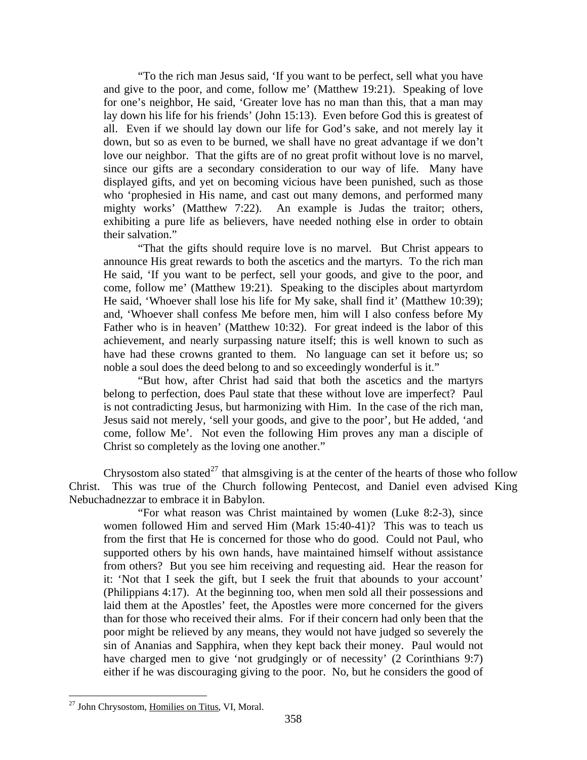"To the rich man Jesus said, 'If you want to be perfect, sell what you have and give to the poor, and come, follow me' (Matthew 19:21). Speaking of love for one's neighbor, He said, 'Greater love has no man than this, that a man may lay down his life for his friends' (John 15:13). Even before God this is greatest of all. Even if we should lay down our life for God's sake, and not merely lay it down, but so as even to be burned, we shall have no great advantage if we don't love our neighbor. That the gifts are of no great profit without love is no marvel, since our gifts are a secondary consideration to our way of life. Many have displayed gifts, and yet on becoming vicious have been punished, such as those who 'prophesied in His name, and cast out many demons, and performed many mighty works' (Matthew 7:22). An example is Judas the traitor; others, exhibiting a pure life as believers, have needed nothing else in order to obtain their salvation."

"That the gifts should require love is no marvel. But Christ appears to announce His great rewards to both the ascetics and the martyrs. To the rich man He said, 'If you want to be perfect, sell your goods, and give to the poor, and come, follow me' (Matthew 19:21). Speaking to the disciples about martyrdom He said, 'Whoever shall lose his life for My sake, shall find it' (Matthew 10:39); and, 'Whoever shall confess Me before men, him will I also confess before My Father who is in heaven' (Matthew 10:32). For great indeed is the labor of this achievement, and nearly surpassing nature itself; this is well known to such as have had these crowns granted to them. No language can set it before us; so noble a soul does the deed belong to and so exceedingly wonderful is it."

"But how, after Christ had said that both the ascetics and the martyrs belong to perfection, does Paul state that these without love are imperfect? Paul is not contradicting Jesus, but harmonizing with Him. In the case of the rich man, Jesus said not merely, 'sell your goods, and give to the poor', but He added, 'and come, follow Me'. Not even the following Him proves any man a disciple of Christ so completely as the loving one another."

Chrysostom also stated<sup>[27](#page-13-0)</sup> that almsgiving is at the center of the hearts of those who follow Christ. This was true of the Church following Pentecost, and Daniel even advised King Nebuchadnezzar to embrace it in Babylon.

"For what reason was Christ maintained by women (Luke 8:2-3), since women followed Him and served Him (Mark 15:40-41)? This was to teach us from the first that He is concerned for those who do good. Could not Paul, who supported others by his own hands, have maintained himself without assistance from others? But you see him receiving and requesting aid. Hear the reason for it: 'Not that I seek the gift, but I seek the fruit that abounds to your account' (Philippians 4:17). At the beginning too, when men sold all their possessions and laid them at the Apostles' feet, the Apostles were more concerned for the givers than for those who received their alms. For if their concern had only been that the poor might be relieved by any means, they would not have judged so severely the sin of Ananias and Sapphira, when they kept back their money. Paul would not have charged men to give 'not grudgingly or of necessity' (2 Corinthians 9:7) either if he was discouraging giving to the poor. No, but he considers the good of

<span id="page-13-0"></span> $\overline{a}$  $27$  John Chrysostom, Homilies on Titus, VI, Moral.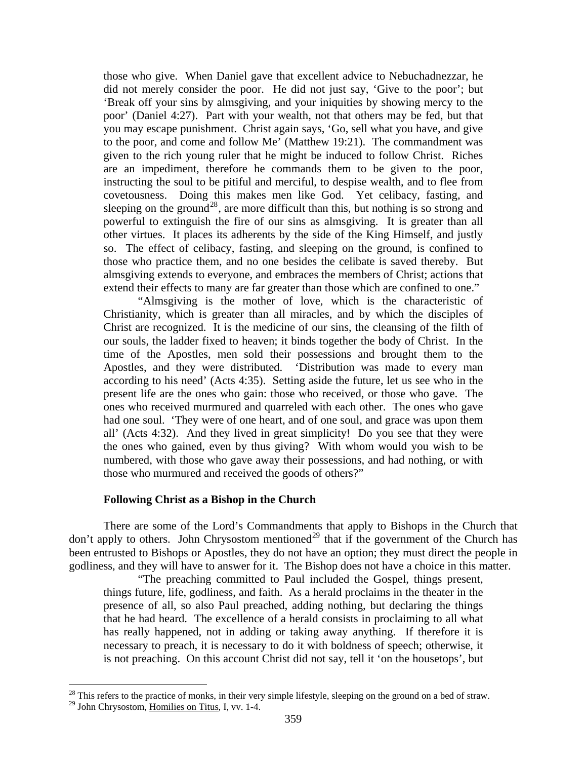<span id="page-14-0"></span>those who give. When Daniel gave that excellent advice to Nebuchadnezzar, he did not merely consider the poor. He did not just say, 'Give to the poor'; but 'Break off your sins by almsgiving, and your iniquities by showing mercy to the poor' (Daniel 4:27). Part with your wealth, not that others may be fed, but that you may escape punishment. Christ again says, 'Go, sell what you have, and give to the poor, and come and follow Me' (Matthew 19:21). The commandment was given to the rich young ruler that he might be induced to follow Christ. Riches are an impediment, therefore he commands them to be given to the poor, instructing the soul to be pitiful and merciful, to despise wealth, and to flee from covetousness. Doing this makes men like God. Yet celibacy, fasting, and sleeping on the ground<sup>[28](#page-14-1)</sup>, are more difficult than this, but nothing is so strong and powerful to extinguish the fire of our sins as almsgiving. It is greater than all other virtues. It places its adherents by the side of the King Himself, and justly so. The effect of celibacy, fasting, and sleeping on the ground, is confined to those who practice them, and no one besides the celibate is saved thereby. But almsgiving extends to everyone, and embraces the members of Christ; actions that extend their effects to many are far greater than those which are confined to one."

"Almsgiving is the mother of love, which is the characteristic of Christianity, which is greater than all miracles, and by which the disciples of Christ are recognized. It is the medicine of our sins, the cleansing of the filth of our souls, the ladder fixed to heaven; it binds together the body of Christ. In the time of the Apostles, men sold their possessions and brought them to the Apostles, and they were distributed. 'Distribution was made to every man according to his need' (Acts 4:35). Setting aside the future, let us see who in the present life are the ones who gain: those who received, or those who gave. The ones who received murmured and quarreled with each other. The ones who gave had one soul. 'They were of one heart, and of one soul, and grace was upon them all' (Acts 4:32). And they lived in great simplicity! Do you see that they were the ones who gained, even by thus giving? With whom would you wish to be numbered, with those who gave away their possessions, and had nothing, or with those who murmured and received the goods of others?"

## **Following Christ as a Bishop in the Church**

 $\overline{a}$ 

There are some of the Lord's Commandments that apply to Bishops in the Church that don't apply to others. John Chrysostom mentioned<sup>[29](#page-14-2)</sup> that if the government of the Church has been entrusted to Bishops or Apostles, they do not have an option; they must direct the people in godliness, and they will have to answer for it. The Bishop does not have a choice in this matter.

"The preaching committed to Paul included the Gospel, things present, things future, life, godliness, and faith. As a herald proclaims in the theater in the presence of all, so also Paul preached, adding nothing, but declaring the things that he had heard. The excellence of a herald consists in proclaiming to all what has really happened, not in adding or taking away anything. If therefore it is necessary to preach, it is necessary to do it with boldness of speech; otherwise, it is not preaching. On this account Christ did not say, tell it 'on the housetops', but

<span id="page-14-2"></span><span id="page-14-1"></span> $^{28}$  This refers to the practice of monks, in their very simple lifestyle, sleeping on the ground on a bed of straw. <sup>29</sup> John Chrysostom, Homilies on Titus, I, vv. 1-4.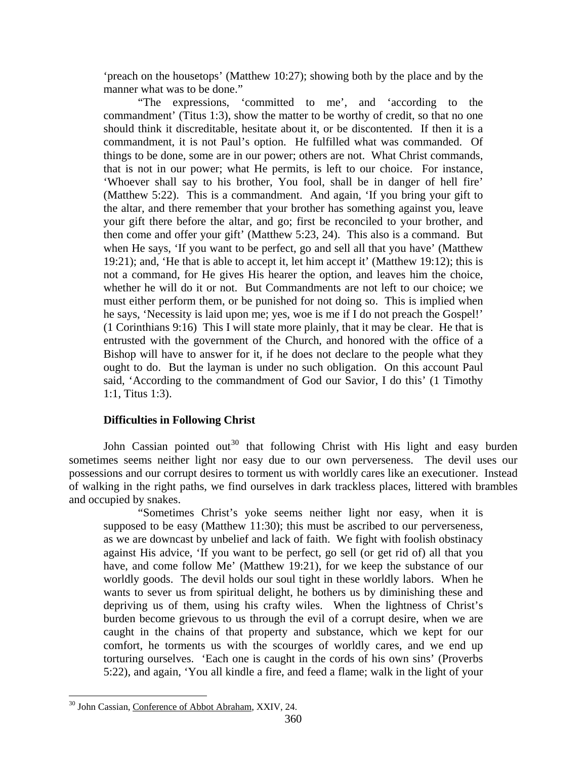<span id="page-15-0"></span>'preach on the housetops' (Matthew 10:27); showing both by the place and by the manner what was to be done."

"The expressions, 'committed to me', and 'according to the commandment' (Titus 1:3), show the matter to be worthy of credit, so that no one should think it discreditable, hesitate about it, or be discontented. If then it is a commandment, it is not Paul's option. He fulfilled what was commanded. Of things to be done, some are in our power; others are not. What Christ commands, that is not in our power; what He permits, is left to our choice. For instance, 'Whoever shall say to his brother, You fool, shall be in danger of hell fire' (Matthew 5:22). This is a commandment. And again, 'If you bring your gift to the altar, and there remember that your brother has something against you, leave your gift there before the altar, and go; first be reconciled to your brother, and then come and offer your gift' (Matthew 5:23, 24). This also is a command. But when He says, 'If you want to be perfect, go and sell all that you have' (Matthew 19:21); and, 'He that is able to accept it, let him accept it' (Matthew 19:12); this is not a command, for He gives His hearer the option, and leaves him the choice, whether he will do it or not. But Commandments are not left to our choice; we must either perform them, or be punished for not doing so. This is implied when he says, 'Necessity is laid upon me; yes, woe is me if I do not preach the Gospel!' (1 Corinthians 9:16) This I will state more plainly, that it may be clear. He that is entrusted with the government of the Church, and honored with the office of a Bishop will have to answer for it, if he does not declare to the people what they ought to do. But the layman is under no such obligation. On this account Paul said, 'According to the commandment of God our Savior, I do this' (1 Timothy 1:1, Titus 1:3).

## **Difficulties in Following Christ**

John Cassian pointed out<sup>[30](#page-15-1)</sup> that following Christ with His light and easy burden sometimes seems neither light nor easy due to our own perverseness. The devil uses our possessions and our corrupt desires to torment us with worldly cares like an executioner. Instead of walking in the right paths, we find ourselves in dark trackless places, littered with brambles and occupied by snakes.

"Sometimes Christ's yoke seems neither light nor easy, when it is supposed to be easy (Matthew 11:30); this must be ascribed to our perverseness, as we are downcast by unbelief and lack of faith. We fight with foolish obstinacy against His advice, 'If you want to be perfect, go sell (or get rid of) all that you have, and come follow Me' (Matthew 19:21), for we keep the substance of our worldly goods. The devil holds our soul tight in these worldly labors. When he wants to sever us from spiritual delight, he bothers us by diminishing these and depriving us of them, using his crafty wiles. When the lightness of Christ's burden become grievous to us through the evil of a corrupt desire, when we are caught in the chains of that property and substance, which we kept for our comfort, he torments us with the scourges of worldly cares, and we end up torturing ourselves. 'Each one is caught in the cords of his own sins' (Proverbs 5:22), and again, 'You all kindle a fire, and feed a flame; walk in the light of your

<span id="page-15-1"></span><sup>&</sup>lt;sup>30</sup> John Cassian, Conference of Abbot Abraham, XXIV, 24.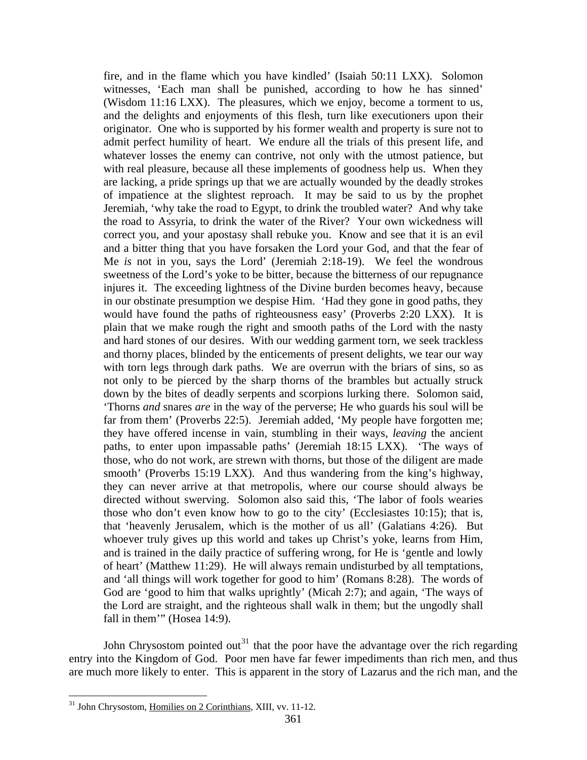fire, and in the flame which you have kindled' (Isaiah 50:11 LXX). Solomon witnesses, 'Each man shall be punished, according to how he has sinned' (Wisdom 11:16 LXX). The pleasures, which we enjoy, become a torment to us, and the delights and enjoyments of this flesh, turn like executioners upon their originator. One who is supported by his former wealth and property is sure not to admit perfect humility of heart. We endure all the trials of this present life, and whatever losses the enemy can contrive, not only with the utmost patience, but with real pleasure, because all these implements of goodness help us. When they are lacking, a pride springs up that we are actually wounded by the deadly strokes of impatience at the slightest reproach. It may be said to us by the prophet Jeremiah, 'why take the road to Egypt, to drink the troubled water? And why take the road to Assyria, to drink the water of the River? Your own wickedness will correct you, and your apostasy shall rebuke you. Know and see that it is an evil and a bitter thing that you have forsaken the Lord your God, and that the fear of Me *is* not in you, says the Lord' (Jeremiah 2:18-19). We feel the wondrous sweetness of the Lord's yoke to be bitter, because the bitterness of our repugnance injures it. The exceeding lightness of the Divine burden becomes heavy, because in our obstinate presumption we despise Him. 'Had they gone in good paths, they would have found the paths of righteousness easy' (Proverbs 2:20 LXX). It is plain that we make rough the right and smooth paths of the Lord with the nasty and hard stones of our desires. With our wedding garment torn, we seek trackless and thorny places, blinded by the enticements of present delights, we tear our way with torn legs through dark paths. We are overrun with the briars of sins, so as not only to be pierced by the sharp thorns of the brambles but actually struck down by the bites of deadly serpents and scorpions lurking there. Solomon said, 'Thorns *and* snares *are* in the way of the perverse; He who guards his soul will be far from them' (Proverbs 22:5). Jeremiah added, 'My people have forgotten me; they have offered incense in vain, stumbling in their ways, *leaving* the ancient paths, to enter upon impassable paths' (Jeremiah 18:15 LXX). 'The ways of those, who do not work, are strewn with thorns, but those of the diligent are made smooth' (Proverbs 15:19 LXX). And thus wandering from the king's highway, they can never arrive at that metropolis, where our course should always be directed without swerving. Solomon also said this, 'The labor of fools wearies those who don't even know how to go to the city' (Ecclesiastes 10:15); that is, that 'heavenly Jerusalem, which is the mother of us all' (Galatians 4:26). But whoever truly gives up this world and takes up Christ's yoke, learns from Him, and is trained in the daily practice of suffering wrong, for He is 'gentle and lowly of heart' (Matthew 11:29). He will always remain undisturbed by all temptations, and 'all things will work together for good to him' (Romans 8:28). The words of God are 'good to him that walks uprightly' (Micah 2:7); and again, 'The ways of the Lord are straight, and the righteous shall walk in them; but the ungodly shall fall in them"" (Hosea 14:9).

John Chrysostom pointed out<sup>[31](#page-16-0)</sup> that the poor have the advantage over the rich regarding entry into the Kingdom of God. Poor men have far fewer impediments than rich men, and thus are much more likely to enter. This is apparent in the story of Lazarus and the rich man, and the

<span id="page-16-0"></span><sup>&</sup>lt;sup>31</sup> John Chrysostom, Homilies on 2 Corinthians, XIII, vv. 11-12.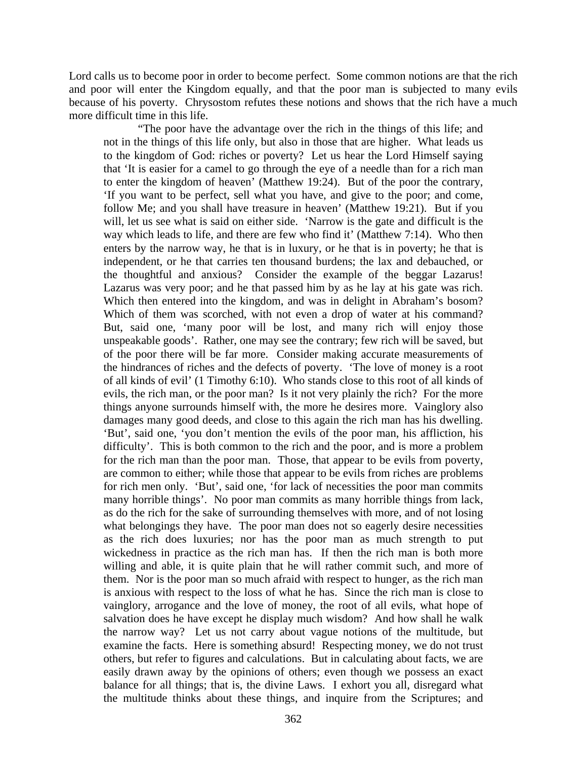Lord calls us to become poor in order to become perfect. Some common notions are that the rich and poor will enter the Kingdom equally, and that the poor man is subjected to many evils because of his poverty. Chrysostom refutes these notions and shows that the rich have a much more difficult time in this life.

"The poor have the advantage over the rich in the things of this life; and not in the things of this life only, but also in those that are higher. What leads us to the kingdom of God: riches or poverty? Let us hear the Lord Himself saying that 'It is easier for a camel to go through the eye of a needle than for a rich man to enter the kingdom of heaven' (Matthew 19:24). But of the poor the contrary, 'If you want to be perfect, sell what you have, and give to the poor; and come, follow Me; and you shall have treasure in heaven' (Matthew 19:21). But if you will, let us see what is said on either side. 'Narrow is the gate and difficult is the way which leads to life, and there are few who find it' (Matthew 7:14). Who then enters by the narrow way, he that is in luxury, or he that is in poverty; he that is independent, or he that carries ten thousand burdens; the lax and debauched, or the thoughtful and anxious? Consider the example of the beggar Lazarus! Lazarus was very poor; and he that passed him by as he lay at his gate was rich. Which then entered into the kingdom, and was in delight in Abraham's bosom? Which of them was scorched, with not even a drop of water at his command? But, said one, 'many poor will be lost, and many rich will enjoy those unspeakable goods'. Rather, one may see the contrary; few rich will be saved, but of the poor there will be far more. Consider making accurate measurements of the hindrances of riches and the defects of poverty. 'The love of money is a root of all kinds of evil' (1 Timothy 6:10). Who stands close to this root of all kinds of evils, the rich man, or the poor man? Is it not very plainly the rich? For the more things anyone surrounds himself with, the more he desires more. Vainglory also damages many good deeds, and close to this again the rich man has his dwelling. 'But', said one, 'you don't mention the evils of the poor man, his affliction, his difficulty'. This is both common to the rich and the poor, and is more a problem for the rich man than the poor man. Those, that appear to be evils from poverty, are common to either; while those that appear to be evils from riches are problems for rich men only. 'But', said one, 'for lack of necessities the poor man commits many horrible things'. No poor man commits as many horrible things from lack, as do the rich for the sake of surrounding themselves with more, and of not losing what belongings they have. The poor man does not so eagerly desire necessities as the rich does luxuries; nor has the poor man as much strength to put wickedness in practice as the rich man has. If then the rich man is both more willing and able, it is quite plain that he will rather commit such, and more of them. Nor is the poor man so much afraid with respect to hunger, as the rich man is anxious with respect to the loss of what he has. Since the rich man is close to vainglory, arrogance and the love of money, the root of all evils, what hope of salvation does he have except he display much wisdom? And how shall he walk the narrow way? Let us not carry about vague notions of the multitude, but examine the facts. Here is something absurd! Respecting money, we do not trust others, but refer to figures and calculations. But in calculating about facts, we are easily drawn away by the opinions of others; even though we possess an exact balance for all things; that is, the divine Laws. I exhort you all, disregard what the multitude thinks about these things, and inquire from the Scriptures; and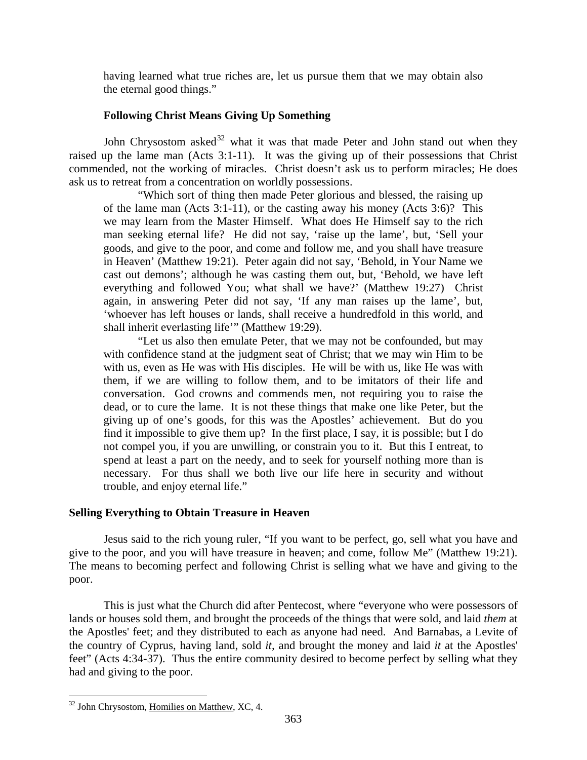<span id="page-18-0"></span>having learned what true riches are, let us pursue them that we may obtain also the eternal good things."

## **Following Christ Means Giving Up Something**

John Chrysostom asked $32$  what it was that made Peter and John stand out when they raised up the lame man (Acts 3:1-11). It was the giving up of their possessions that Christ commended, not the working of miracles. Christ doesn't ask us to perform miracles; He does ask us to retreat from a concentration on worldly possessions.

"Which sort of thing then made Peter glorious and blessed, the raising up of the lame man (Acts 3:1-11), or the casting away his money (Acts 3:6)? This we may learn from the Master Himself. What does He Himself say to the rich man seeking eternal life? He did not say, 'raise up the lame', but, 'Sell your goods, and give to the poor, and come and follow me, and you shall have treasure in Heaven' (Matthew 19:21). Peter again did not say, 'Behold, in Your Name we cast out demons'; although he was casting them out, but, 'Behold, we have left everything and followed You; what shall we have?' (Matthew 19:27) Christ again, in answering Peter did not say, 'If any man raises up the lame', but, 'whoever has left houses or lands, shall receive a hundredfold in this world, and shall inherit everlasting life'" (Matthew 19:29).

"Let us also then emulate Peter, that we may not be confounded, but may with confidence stand at the judgment seat of Christ; that we may win Him to be with us, even as He was with His disciples. He will be with us, like He was with them, if we are willing to follow them, and to be imitators of their life and conversation. God crowns and commends men, not requiring you to raise the dead, or to cure the lame. It is not these things that make one like Peter, but the giving up of one's goods, for this was the Apostles' achievement. But do you find it impossible to give them up? In the first place, I say, it is possible; but I do not compel you, if you are unwilling, or constrain you to it. But this I entreat, to spend at least a part on the needy, and to seek for yourself nothing more than is necessary. For thus shall we both live our life here in security and without trouble, and enjoy eternal life."

#### **Selling Everything to Obtain Treasure in Heaven**

Jesus said to the rich young ruler, "If you want to be perfect, go, sell what you have and give to the poor, and you will have treasure in heaven; and come, follow Me" (Matthew 19:21). The means to becoming perfect and following Christ is selling what we have and giving to the poor.

This is just what the Church did after Pentecost, where "everyone who were possessors of lands or houses sold them, and brought the proceeds of the things that were sold, and laid *them* at the Apostles' feet; and they distributed to each as anyone had need. And Barnabas, a Levite of the country of Cyprus, having land, sold *it,* and brought the money and laid *it* at the Apostles' feet" (Acts 4:34-37). Thus the entire community desired to become perfect by selling what they had and giving to the poor.

<span id="page-18-1"></span><sup>&</sup>lt;sup>32</sup> John Chrysostom, Homilies on Matthew, XC, 4.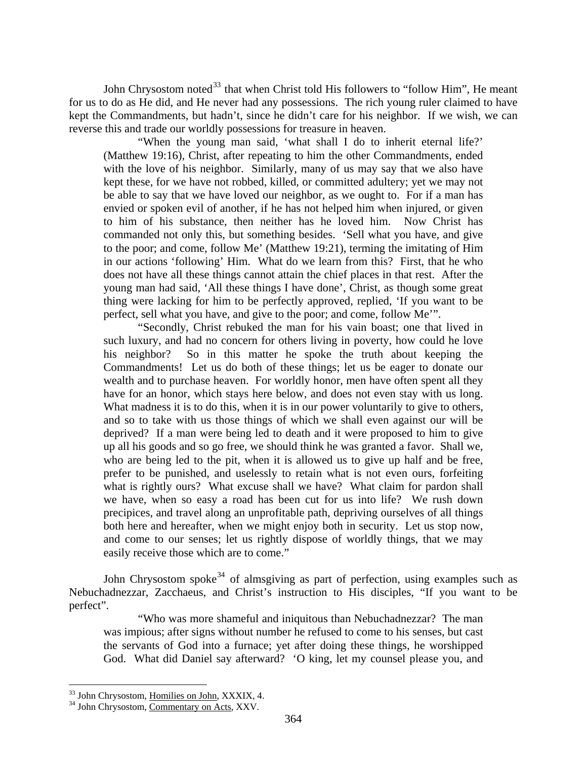John Chrysostom noted<sup>[33](#page-19-0)</sup> that when Christ told His followers to "follow Him", He meant for us to do as He did, and He never had any possessions. The rich young ruler claimed to have kept the Commandments, but hadn't, since he didn't care for his neighbor. If we wish, we can reverse this and trade our worldly possessions for treasure in heaven.

"When the young man said, 'what shall I do to inherit eternal life?' (Matthew 19:16), Christ, after repeating to him the other Commandments, ended with the love of his neighbor. Similarly, many of us may say that we also have kept these, for we have not robbed, killed, or committed adultery; yet we may not be able to say that we have loved our neighbor, as we ought to. For if a man has envied or spoken evil of another, if he has not helped him when injured, or given to him of his substance, then neither has he loved him. Now Christ has commanded not only this, but something besides. 'Sell what you have, and give to the poor; and come, follow Me' (Matthew 19:21), terming the imitating of Him in our actions 'following' Him. What do we learn from this? First, that he who does not have all these things cannot attain the chief places in that rest. After the young man had said, 'All these things I have done', Christ, as though some great thing were lacking for him to be perfectly approved, replied, 'If you want to be perfect, sell what you have, and give to the poor; and come, follow Me'".

"Secondly, Christ rebuked the man for his vain boast; one that lived in such luxury, and had no concern for others living in poverty, how could he love his neighbor? So in this matter he spoke the truth about keeping the Commandments! Let us do both of these things; let us be eager to donate our wealth and to purchase heaven. For worldly honor, men have often spent all they have for an honor, which stays here below, and does not even stay with us long. What madness it is to do this, when it is in our power voluntarily to give to others, and so to take with us those things of which we shall even against our will be deprived? If a man were being led to death and it were proposed to him to give up all his goods and so go free, we should think he was granted a favor. Shall we, who are being led to the pit, when it is allowed us to give up half and be free, prefer to be punished, and uselessly to retain what is not even ours, forfeiting what is rightly ours? What excuse shall we have? What claim for pardon shall we have, when so easy a road has been cut for us into life? We rush down precipices, and travel along an unprofitable path, depriving ourselves of all things both here and hereafter, when we might enjoy both in security. Let us stop now, and come to our senses; let us rightly dispose of worldly things, that we may easily receive those which are to come."

John Chrysostom spoke<sup>[34](#page-19-1)</sup> of almsgiving as part of perfection, using examples such as Nebuchadnezzar, Zacchaeus, and Christ's instruction to His disciples, "If you want to be perfect".

"Who was more shameful and iniquitous than Nebuchadnezzar? The man was impious; after signs without number he refused to come to his senses, but cast the servants of God into a furnace; yet after doing these things, he worshipped God. What did Daniel say afterward? 'O king, let my counsel please you, and

<span id="page-19-0"></span><sup>&</sup>lt;sup>33</sup> John Chrysostom, Homilies on John, XXXIX, 4.

<span id="page-19-1"></span> $34$  John Chrysostom, Commentary on Acts, XXV.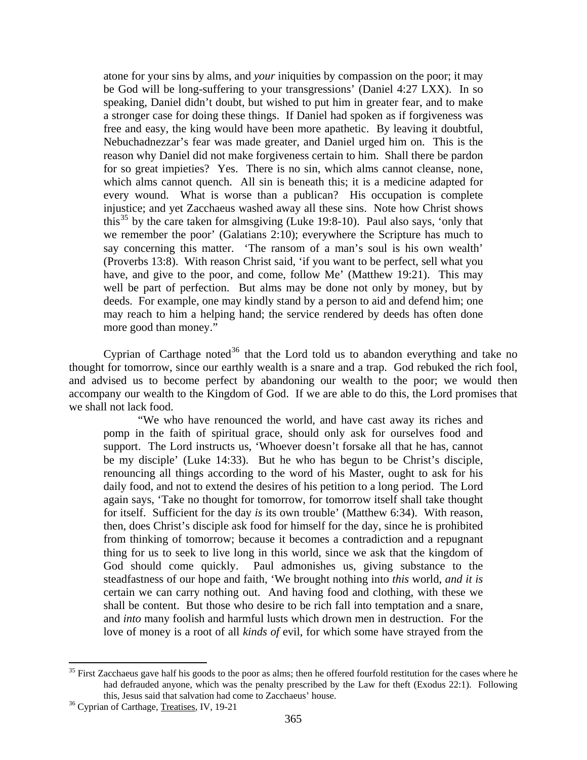atone for your sins by alms, and *your* iniquities by compassion on the poor; it may be God will be long-suffering to your transgressions' (Daniel 4:27 LXX). In so speaking, Daniel didn't doubt, but wished to put him in greater fear, and to make a stronger case for doing these things. If Daniel had spoken as if forgiveness was free and easy, the king would have been more apathetic. By leaving it doubtful, Nebuchadnezzar's fear was made greater, and Daniel urged him on. This is the reason why Daniel did not make forgiveness certain to him. Shall there be pardon for so great impieties? Yes. There is no sin, which alms cannot cleanse, none, which alms cannot quench. All sin is beneath this; it is a medicine adapted for every wound. What is worse than a publican? His occupation is complete injustice; and yet Zacchaeus washed away all these sins. Note how Christ shows this<sup>[35](#page-20-0)</sup> by the care taken for almsgiving (Luke 19:8-10). Paul also says, 'only that we remember the poor' (Galatians 2:10); everywhere the Scripture has much to say concerning this matter. 'The ransom of a man's soul is his own wealth' (Proverbs 13:8). With reason Christ said, 'if you want to be perfect, sell what you have, and give to the poor, and come, follow Me' (Matthew 19:21). This may well be part of perfection. But alms may be done not only by money, but by deeds. For example, one may kindly stand by a person to aid and defend him; one may reach to him a helping hand; the service rendered by deeds has often done more good than money."

Cyprian of Carthage noted<sup>[36](#page-20-1)</sup> that the Lord told us to abandon everything and take no thought for tomorrow, since our earthly wealth is a snare and a trap. God rebuked the rich fool, and advised us to become perfect by abandoning our wealth to the poor; we would then accompany our wealth to the Kingdom of God. If we are able to do this, the Lord promises that we shall not lack food.

"We who have renounced the world, and have cast away its riches and pomp in the faith of spiritual grace, should only ask for ourselves food and support. The Lord instructs us, 'Whoever doesn't forsake all that he has, cannot be my disciple' (Luke 14:33). But he who has begun to be Christ's disciple, renouncing all things according to the word of his Master, ought to ask for his daily food, and not to extend the desires of his petition to a long period. The Lord again says, 'Take no thought for tomorrow, for tomorrow itself shall take thought for itself. Sufficient for the day *is* its own trouble' (Matthew 6:34). With reason, then, does Christ's disciple ask food for himself for the day, since he is prohibited from thinking of tomorrow; because it becomes a contradiction and a repugnant thing for us to seek to live long in this world, since we ask that the kingdom of God should come quickly. Paul admonishes us, giving substance to the steadfastness of our hope and faith, 'We brought nothing into *this* world, *and it is*  certain we can carry nothing out. And having food and clothing, with these we shall be content. But those who desire to be rich fall into temptation and a snare, and *into* many foolish and harmful lusts which drown men in destruction. For the love of money is a root of all *kinds of* evil, for which some have strayed from the

<span id="page-20-0"></span><sup>&</sup>lt;sup>35</sup> First Zacchaeus gave half his goods to the poor as alms; then he offered fourfold restitution for the cases where he had defrauded anyone, which was the penalty prescribed by the Law for theft (Exodus 22:1). Following this, Jesus said that salvation had come to Zacchaeus' house. 36 Cyprian of Carthage, Treatises, IV, 19-21

<span id="page-20-1"></span>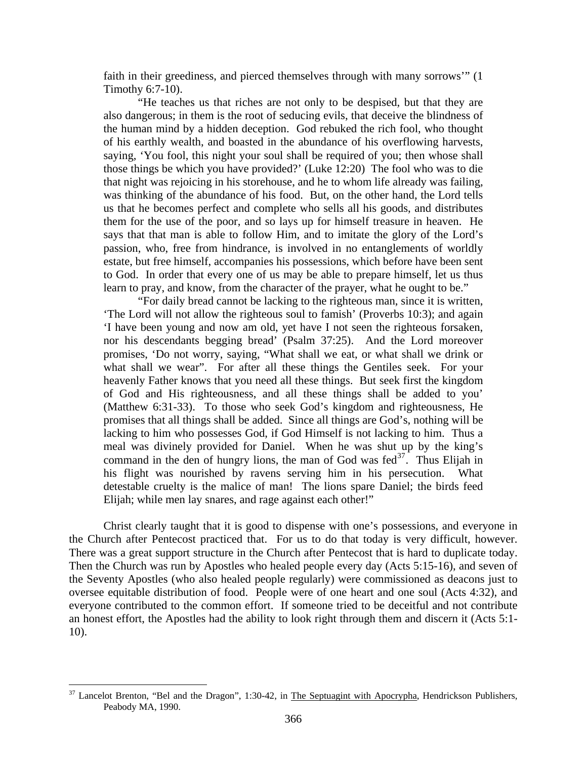faith in their greediness, and pierced themselves through with many sorrows'" (1 Timothy 6:7-10).

"He teaches us that riches are not only to be despised, but that they are also dangerous; in them is the root of seducing evils, that deceive the blindness of the human mind by a hidden deception. God rebuked the rich fool, who thought of his earthly wealth, and boasted in the abundance of his overflowing harvests, saying, 'You fool, this night your soul shall be required of you; then whose shall those things be which you have provided?' (Luke 12:20) The fool who was to die that night was rejoicing in his storehouse, and he to whom life already was failing, was thinking of the abundance of his food. But, on the other hand, the Lord tells us that he becomes perfect and complete who sells all his goods, and distributes them for the use of the poor, and so lays up for himself treasure in heaven. He says that that man is able to follow Him, and to imitate the glory of the Lord's passion, who, free from hindrance, is involved in no entanglements of worldly estate, but free himself, accompanies his possessions, which before have been sent to God. In order that every one of us may be able to prepare himself, let us thus learn to pray, and know, from the character of the prayer, what he ought to be."

"For daily bread cannot be lacking to the righteous man, since it is written, 'The Lord will not allow the righteous soul to famish' (Proverbs 10:3); and again 'I have been young and now am old, yet have I not seen the righteous forsaken, nor his descendants begging bread' (Psalm 37:25). And the Lord moreover promises, 'Do not worry, saying, "What shall we eat, or what shall we drink or what shall we wear". For after all these things the Gentiles seek. For your heavenly Father knows that you need all these things. But seek first the kingdom of God and His righteousness, and all these things shall be added to you' (Matthew 6:31-33). To those who seek God's kingdom and righteousness, He promises that all things shall be added. Since all things are God's, nothing will be lacking to him who possesses God, if God Himself is not lacking to him. Thus a meal was divinely provided for Daniel. When he was shut up by the king's command in the den of hungry lions, the man of God was fed<sup>[37](#page-21-0)</sup>. Thus Elijah in his flight was nourished by ravens serving him in his persecution. What detestable cruelty is the malice of man! The lions spare Daniel; the birds feed Elijah; while men lay snares, and rage against each other!"

Christ clearly taught that it is good to dispense with one's possessions, and everyone in the Church after Pentecost practiced that. For us to do that today is very difficult, however. There was a great support structure in the Church after Pentecost that is hard to duplicate today. Then the Church was run by Apostles who healed people every day (Acts 5:15-16), and seven of the Seventy Apostles (who also healed people regularly) were commissioned as deacons just to oversee equitable distribution of food. People were of one heart and one soul (Acts 4:32), and everyone contributed to the common effort. If someone tried to be deceitful and not contribute an honest effort, the Apostles had the ability to look right through them and discern it (Acts 5:1- 10).

<span id="page-21-0"></span><sup>&</sup>lt;sup>37</sup> Lancelot Brenton, "Bel and the Dragon", 1:30-42, in The Septuagint with Apocrypha, Hendrickson Publishers, Peabody MA, 1990.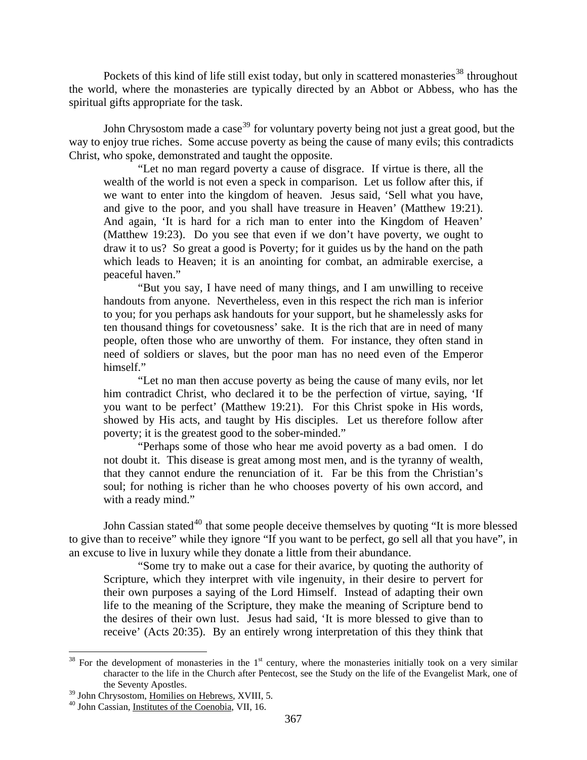Pockets of this kind of life still exist today, but only in scattered monasteries<sup>[38](#page-22-0)</sup> throughout the world, where the monasteries are typically directed by an Abbot or Abbess, who has the spiritual gifts appropriate for the task.

John Chrysostom made a case<sup>[39](#page-22-1)</sup> for voluntary poverty being not just a great good, but the way to enjoy true riches. Some accuse poverty as being the cause of many evils; this contradicts Christ, who spoke, demonstrated and taught the opposite.

"Let no man regard poverty a cause of disgrace. If virtue is there, all the wealth of the world is not even a speck in comparison. Let us follow after this, if we want to enter into the kingdom of heaven. Jesus said, 'Sell what you have, and give to the poor, and you shall have treasure in Heaven' (Matthew 19:21). And again, 'It is hard for a rich man to enter into the Kingdom of Heaven' (Matthew 19:23). Do you see that even if we don't have poverty, we ought to draw it to us? So great a good is Poverty; for it guides us by the hand on the path which leads to Heaven; it is an anointing for combat, an admirable exercise, a peaceful haven."

"But you say, I have need of many things, and I am unwilling to receive handouts from anyone. Nevertheless, even in this respect the rich man is inferior to you; for you perhaps ask handouts for your support, but he shamelessly asks for ten thousand things for covetousness' sake. It is the rich that are in need of many people, often those who are unworthy of them. For instance, they often stand in need of soldiers or slaves, but the poor man has no need even of the Emperor himself."

"Let no man then accuse poverty as being the cause of many evils, nor let him contradict Christ, who declared it to be the perfection of virtue, saying, 'If you want to be perfect' (Matthew 19:21). For this Christ spoke in His words, showed by His acts, and taught by His disciples. Let us therefore follow after poverty; it is the greatest good to the sober-minded."

"Perhaps some of those who hear me avoid poverty as a bad omen. I do not doubt it. This disease is great among most men, and is the tyranny of wealth, that they cannot endure the renunciation of it. Far be this from the Christian's soul; for nothing is richer than he who chooses poverty of his own accord, and with a ready mind."

John Cassian stated<sup>[40](#page-22-2)</sup> that some people deceive themselves by quoting "It is more blessed to give than to receive" while they ignore "If you want to be perfect, go sell all that you have", in an excuse to live in luxury while they donate a little from their abundance.

"Some try to make out a case for their avarice, by quoting the authority of Scripture, which they interpret with vile ingenuity, in their desire to pervert for their own purposes a saying of the Lord Himself. Instead of adapting their own life to the meaning of the Scripture, they make the meaning of Scripture bend to the desires of their own lust. Jesus had said, 'It is more blessed to give than to receive' (Acts 20:35). By an entirely wrong interpretation of this they think that

<span id="page-22-0"></span> $38$  For the development of monasteries in the  $1<sup>st</sup>$  century, where the monasteries initially took on a very similar character to the life in the Church after Pentecost, see the Study on the life of the Evangelist Mark, one of the Seventy Apostles.

<span id="page-22-2"></span><span id="page-22-1"></span> $39$  John Chrysostom, Homilies on Hebrews, XVIII, 5.  $40$  John Cassian, Institutes of the Coenobia, VII, 16.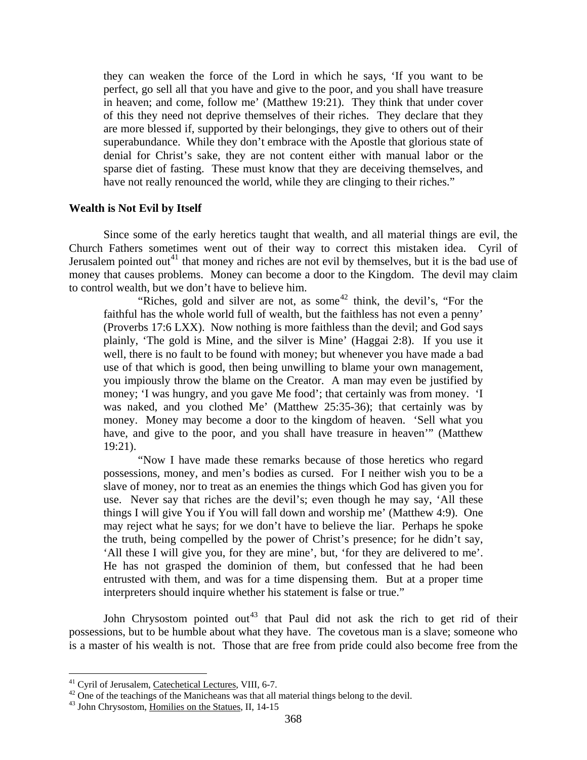<span id="page-23-0"></span>they can weaken the force of the Lord in which he says, 'If you want to be perfect, go sell all that you have and give to the poor, and you shall have treasure in heaven; and come, follow me' (Matthew 19:21). They think that under cover of this they need not deprive themselves of their riches. They declare that they are more blessed if, supported by their belongings, they give to others out of their superabundance. While they don't embrace with the Apostle that glorious state of denial for Christ's sake, they are not content either with manual labor or the sparse diet of fasting. These must know that they are deceiving themselves, and have not really renounced the world, while they are clinging to their riches."

#### **Wealth is Not Evil by Itself**

Since some of the early heretics taught that wealth, and all material things are evil, the Church Fathers sometimes went out of their way to correct this mistaken idea. Cyril of Jerusalem pointed out<sup>[41](#page-23-1)</sup> that money and riches are not evil by themselves, but it is the bad use of money that causes problems. Money can become a door to the Kingdom. The devil may claim to control wealth, but we don't have to believe him.

"Riches, gold and silver are not, as some<sup>[42](#page-23-2)</sup> think, the devil's, "For the faithful has the whole world full of wealth, but the faithless has not even a penny' (Proverbs 17:6 LXX). Now nothing is more faithless than the devil; and God says plainly, 'The gold is Mine, and the silver is Mine' (Haggai 2:8). If you use it well, there is no fault to be found with money; but whenever you have made a bad use of that which is good, then being unwilling to blame your own management, you impiously throw the blame on the Creator. A man may even be justified by money; 'I was hungry, and you gave Me food'; that certainly was from money. 'I was naked, and you clothed Me' (Matthew 25:35-36); that certainly was by money. Money may become a door to the kingdom of heaven. 'Sell what you have, and give to the poor, and you shall have treasure in heaven'" (Matthew 19:21).

"Now I have made these remarks because of those heretics who regard possessions, money, and men's bodies as cursed. For I neither wish you to be a slave of money, nor to treat as an enemies the things which God has given you for use. Never say that riches are the devil's; even though he may say, 'All these things I will give You if You will fall down and worship me' (Matthew 4:9). One may reject what he says; for we don't have to believe the liar. Perhaps he spoke the truth, being compelled by the power of Christ's presence; for he didn't say, 'All these I will give you, for they are mine', but, 'for they are delivered to me'. He has not grasped the dominion of them, but confessed that he had been entrusted with them, and was for a time dispensing them. But at a proper time interpreters should inquire whether his statement is false or true."

John Chrysostom pointed out<sup>[43](#page-23-3)</sup> that Paul did not ask the rich to get rid of their possessions, but to be humble about what they have. The covetous man is a slave; someone who is a master of his wealth is not. Those that are free from pride could also become free from the

<span id="page-23-1"></span>

<sup>&</sup>lt;sup>41</sup> Cyril of Jerusalem, Catechetical Lectures, VIII, 6-7.<br><sup>42</sup> One of the teachings of the Manicheans was that all material things belong to the devil.

<span id="page-23-3"></span><span id="page-23-2"></span> $43$  John Chrysostom, Homilies on the Statues, II, 14-15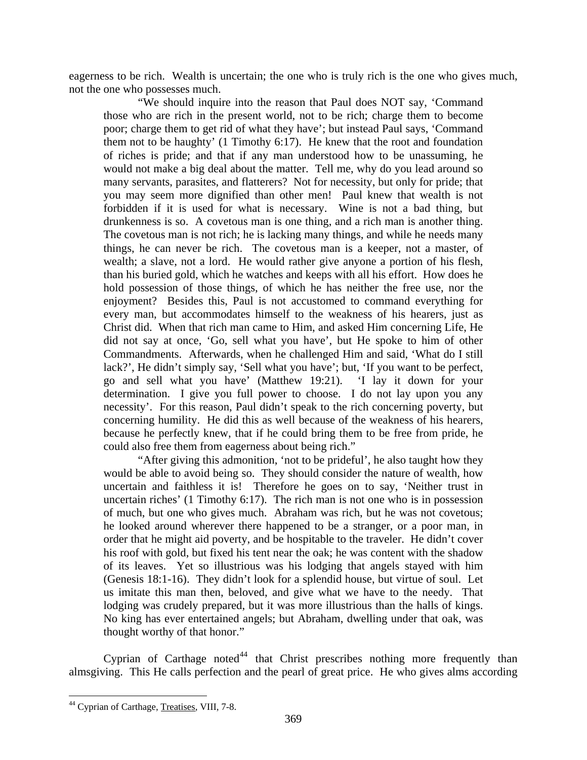eagerness to be rich. Wealth is uncertain; the one who is truly rich is the one who gives much, not the one who possesses much.

"We should inquire into the reason that Paul does NOT say, 'Command those who are rich in the present world, not to be rich; charge them to become poor; charge them to get rid of what they have'; but instead Paul says, 'Command them not to be haughty' (1 Timothy 6:17). He knew that the root and foundation of riches is pride; and that if any man understood how to be unassuming, he would not make a big deal about the matter. Tell me, why do you lead around so many servants, parasites, and flatterers? Not for necessity, but only for pride; that you may seem more dignified than other men! Paul knew that wealth is not forbidden if it is used for what is necessary. Wine is not a bad thing, but drunkenness is so. A covetous man is one thing, and a rich man is another thing. The covetous man is not rich; he is lacking many things, and while he needs many things, he can never be rich. The covetous man is a keeper, not a master, of wealth; a slave, not a lord. He would rather give anyone a portion of his flesh, than his buried gold, which he watches and keeps with all his effort. How does he hold possession of those things, of which he has neither the free use, nor the enjoyment? Besides this, Paul is not accustomed to command everything for every man, but accommodates himself to the weakness of his hearers, just as Christ did. When that rich man came to Him, and asked Him concerning Life, He did not say at once, 'Go, sell what you have', but He spoke to him of other Commandments. Afterwards, when he challenged Him and said, 'What do I still lack?', He didn't simply say, 'Sell what you have'; but, 'If you want to be perfect, go and sell what you have' (Matthew 19:21). 'I lay it down for your determination. I give you full power to choose. I do not lay upon you any necessity'. For this reason, Paul didn't speak to the rich concerning poverty, but concerning humility. He did this as well because of the weakness of his hearers, because he perfectly knew, that if he could bring them to be free from pride, he could also free them from eagerness about being rich."

"After giving this admonition, 'not to be prideful', he also taught how they would be able to avoid being so. They should consider the nature of wealth, how uncertain and faithless it is! Therefore he goes on to say, 'Neither trust in uncertain riches' (1 Timothy 6:17). The rich man is not one who is in possession of much, but one who gives much. Abraham was rich, but he was not covetous; he looked around wherever there happened to be a stranger, or a poor man, in order that he might aid poverty, and be hospitable to the traveler. He didn't cover his roof with gold, but fixed his tent near the oak; he was content with the shadow of its leaves. Yet so illustrious was his lodging that angels stayed with him (Genesis 18:1-16). They didn't look for a splendid house, but virtue of soul. Let us imitate this man then, beloved, and give what we have to the needy. That lodging was crudely prepared, but it was more illustrious than the halls of kings. No king has ever entertained angels; but Abraham, dwelling under that oak, was thought worthy of that honor."

Cyprian of Carthage noted<sup>[44](#page-24-0)</sup> that Christ prescribes nothing more frequently than almsgiving. This He calls perfection and the pearl of great price. He who gives alms according

<span id="page-24-0"></span> $\overline{a}$ <sup>44</sup> Cyprian of Carthage, Treatises, VIII, 7-8.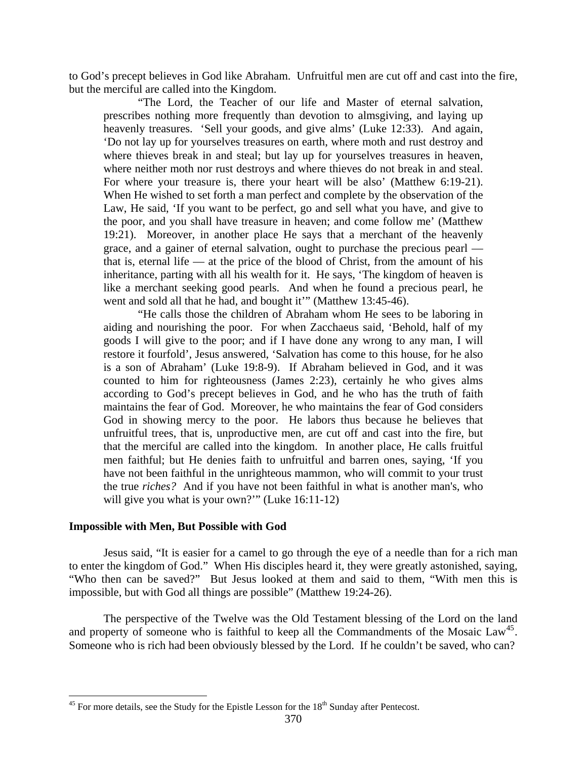<span id="page-25-0"></span>to God's precept believes in God like Abraham. Unfruitful men are cut off and cast into the fire, but the merciful are called into the Kingdom.

"The Lord, the Teacher of our life and Master of eternal salvation, prescribes nothing more frequently than devotion to almsgiving, and laying up heavenly treasures. 'Sell your goods, and give alms' (Luke 12:33). And again, 'Do not lay up for yourselves treasures on earth, where moth and rust destroy and where thieves break in and steal; but lay up for yourselves treasures in heaven, where neither moth nor rust destroys and where thieves do not break in and steal. For where your treasure is, there your heart will be also' (Matthew 6:19-21). When He wished to set forth a man perfect and complete by the observation of the Law, He said, 'If you want to be perfect, go and sell what you have, and give to the poor, and you shall have treasure in heaven; and come follow me' (Matthew 19:21). Moreover, in another place He says that a merchant of the heavenly grace, and a gainer of eternal salvation, ought to purchase the precious pearl that is, eternal life — at the price of the blood of Christ, from the amount of his inheritance, parting with all his wealth for it. He says, 'The kingdom of heaven is like a merchant seeking good pearls. And when he found a precious pearl, he went and sold all that he had, and bought it"" (Matthew 13:45-46).

"He calls those the children of Abraham whom He sees to be laboring in aiding and nourishing the poor. For when Zacchaeus said, 'Behold, half of my goods I will give to the poor; and if I have done any wrong to any man, I will restore it fourfold', Jesus answered, 'Salvation has come to this house, for he also is a son of Abraham' (Luke 19:8-9). If Abraham believed in God, and it was counted to him for righteousness (James 2:23), certainly he who gives alms according to God's precept believes in God, and he who has the truth of faith maintains the fear of God. Moreover, he who maintains the fear of God considers God in showing mercy to the poor. He labors thus because he believes that unfruitful trees, that is, unproductive men, are cut off and cast into the fire, but that the merciful are called into the kingdom. In another place, He calls fruitful men faithful; but He denies faith to unfruitful and barren ones, saying, 'If you have not been faithful in the unrighteous mammon, who will commit to your trust the true *riches?* And if you have not been faithful in what is another man's, who will give you what is your own?"" (Luke 16:11-12)

## **Impossible with Men, But Possible with God**

 $\overline{a}$ 

Jesus said, "It is easier for a camel to go through the eye of a needle than for a rich man to enter the kingdom of God." When His disciples heard it, they were greatly astonished, saying, "Who then can be saved?" But Jesus looked at them and said to them, "With men this is impossible, but with God all things are possible" (Matthew 19:24-26).

The perspective of the Twelve was the Old Testament blessing of the Lord on the land and property of someone who is faithful to keep all the Commandments of the Mosaic Law<sup>[45](#page-25-1)</sup>. Someone who is rich had been obviously blessed by the Lord. If he couldn't be saved, who can?

<span id="page-25-1"></span> $45$  For more details, see the Study for the Epistle Lesson for the  $18<sup>th</sup>$  Sunday after Pentecost.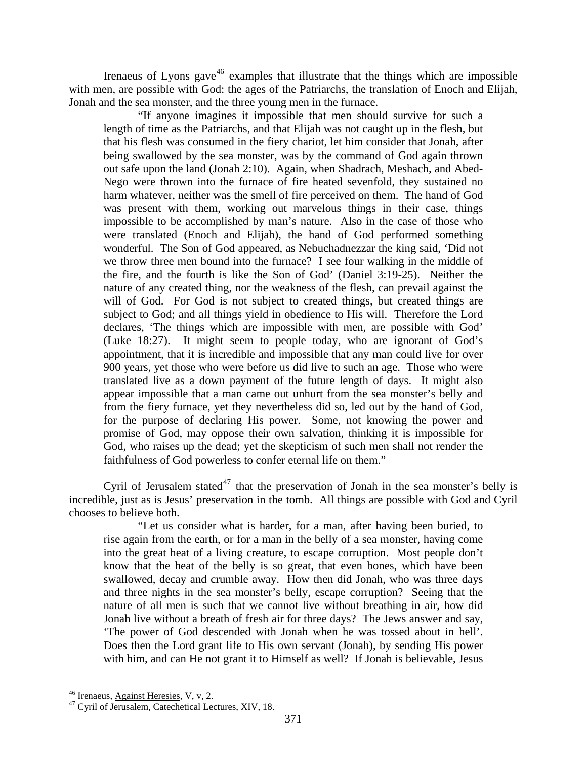Irenaeus of Lyons gave<sup>[46](#page-26-0)</sup> examples that illustrate that the things which are impossible with men, are possible with God: the ages of the Patriarchs, the translation of Enoch and Elijah, Jonah and the sea monster, and the three young men in the furnace.

"If anyone imagines it impossible that men should survive for such a length of time as the Patriarchs, and that Elijah was not caught up in the flesh, but that his flesh was consumed in the fiery chariot, let him consider that Jonah, after being swallowed by the sea monster, was by the command of God again thrown out safe upon the land (Jonah 2:10). Again, when Shadrach, Meshach, and Abed-Nego were thrown into the furnace of fire heated sevenfold, they sustained no harm whatever, neither was the smell of fire perceived on them. The hand of God was present with them, working out marvelous things in their case, things impossible to be accomplished by man's nature. Also in the case of those who were translated (Enoch and Elijah), the hand of God performed something wonderful. The Son of God appeared, as Nebuchadnezzar the king said, 'Did not we throw three men bound into the furnace? I see four walking in the middle of the fire, and the fourth is like the Son of God' (Daniel 3:19-25). Neither the nature of any created thing, nor the weakness of the flesh, can prevail against the will of God. For God is not subject to created things, but created things are subject to God; and all things yield in obedience to His will. Therefore the Lord declares, 'The things which are impossible with men, are possible with God' (Luke 18:27). It might seem to people today, who are ignorant of God's appointment, that it is incredible and impossible that any man could live for over 900 years, yet those who were before us did live to such an age. Those who were translated live as a down payment of the future length of days. It might also appear impossible that a man came out unhurt from the sea monster's belly and from the fiery furnace, yet they nevertheless did so, led out by the hand of God, for the purpose of declaring His power. Some, not knowing the power and promise of God, may oppose their own salvation, thinking it is impossible for God, who raises up the dead; yet the skepticism of such men shall not render the faithfulness of God powerless to confer eternal life on them."

Cyril of Jerusalem stated<sup>[47](#page-26-1)</sup> that the preservation of Jonah in the sea monster's belly is incredible, just as is Jesus' preservation in the tomb. All things are possible with God and Cyril chooses to believe both.

"Let us consider what is harder, for a man, after having been buried, to rise again from the earth, or for a man in the belly of a sea monster, having come into the great heat of a living creature, to escape corruption. Most people don't know that the heat of the belly is so great, that even bones, which have been swallowed, decay and crumble away. How then did Jonah, who was three days and three nights in the sea monster's belly, escape corruption? Seeing that the nature of all men is such that we cannot live without breathing in air, how did Jonah live without a breath of fresh air for three days? The Jews answer and say, 'The power of God descended with Jonah when he was tossed about in hell'. Does then the Lord grant life to His own servant (Jonah), by sending His power with him, and can He not grant it to Himself as well? If Jonah is believable, Jesus

 $\overline{a}$ 

<span id="page-26-1"></span><span id="page-26-0"></span> $^{46}$  Irenaeus, Against Heresies, V, v, 2.<br> $^{47}$  Cyril of Jerusalem, Catechetical Lectures, XIV, 18.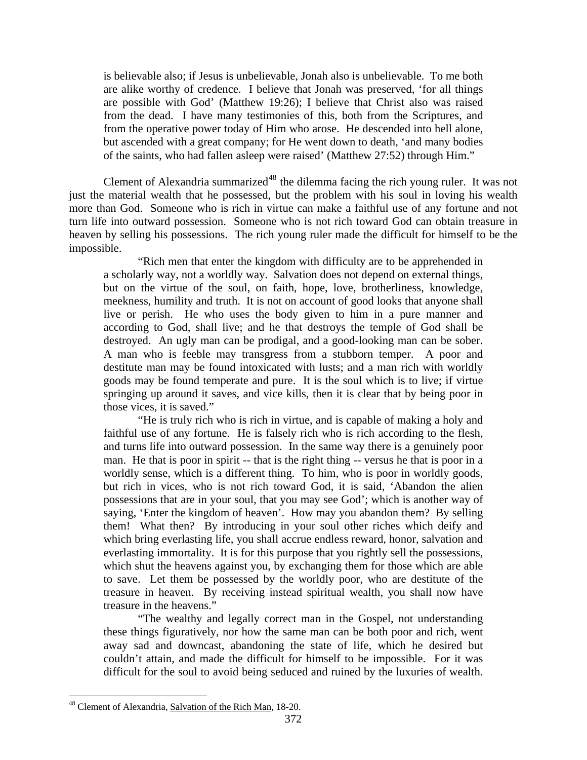is believable also; if Jesus is unbelievable, Jonah also is unbelievable. To me both are alike worthy of credence. I believe that Jonah was preserved, 'for all things are possible with God' (Matthew 19:26); I believe that Christ also was raised from the dead. I have many testimonies of this, both from the Scriptures, and from the operative power today of Him who arose. He descended into hell alone, but ascended with a great company; for He went down to death, 'and many bodies of the saints, who had fallen asleep were raised' (Matthew 27:52) through Him."

Clement of Alexandria summarized<sup>[48](#page-27-0)</sup> the dilemma facing the rich young ruler. It was not just the material wealth that he possessed, but the problem with his soul in loving his wealth more than God. Someone who is rich in virtue can make a faithful use of any fortune and not turn life into outward possession. Someone who is not rich toward God can obtain treasure in heaven by selling his possessions. The rich young ruler made the difficult for himself to be the impossible.

"Rich men that enter the kingdom with difficulty are to be apprehended in a scholarly way, not a worldly way. Salvation does not depend on external things, but on the virtue of the soul, on faith, hope, love, brotherliness, knowledge, meekness, humility and truth. It is not on account of good looks that anyone shall live or perish. He who uses the body given to him in a pure manner and according to God, shall live; and he that destroys the temple of God shall be destroyed. An ugly man can be prodigal, and a good-looking man can be sober. A man who is feeble may transgress from a stubborn temper. A poor and destitute man may be found intoxicated with lusts; and a man rich with worldly goods may be found temperate and pure. It is the soul which is to live; if virtue springing up around it saves, and vice kills, then it is clear that by being poor in those vices, it is saved."

"He is truly rich who is rich in virtue, and is capable of making a holy and faithful use of any fortune. He is falsely rich who is rich according to the flesh, and turns life into outward possession. In the same way there is a genuinely poor man. He that is poor in spirit -- that is the right thing -- versus he that is poor in a worldly sense, which is a different thing. To him, who is poor in worldly goods, but rich in vices, who is not rich toward God, it is said, 'Abandon the alien possessions that are in your soul, that you may see God'; which is another way of saying, 'Enter the kingdom of heaven'. How may you abandon them? By selling them! What then? By introducing in your soul other riches which deify and which bring everlasting life, you shall accrue endless reward, honor, salvation and everlasting immortality. It is for this purpose that you rightly sell the possessions, which shut the heavens against you, by exchanging them for those which are able to save. Let them be possessed by the worldly poor, who are destitute of the treasure in heaven. By receiving instead spiritual wealth, you shall now have treasure in the heavens."

"The wealthy and legally correct man in the Gospel, not understanding these things figuratively, nor how the same man can be both poor and rich, went away sad and downcast, abandoning the state of life, which he desired but couldn't attain, and made the difficult for himself to be impossible. For it was difficult for the soul to avoid being seduced and ruined by the luxuries of wealth.

<span id="page-27-0"></span><sup>&</sup>lt;sup>48</sup> Clement of Alexandria, Salvation of the Rich Man, 18-20.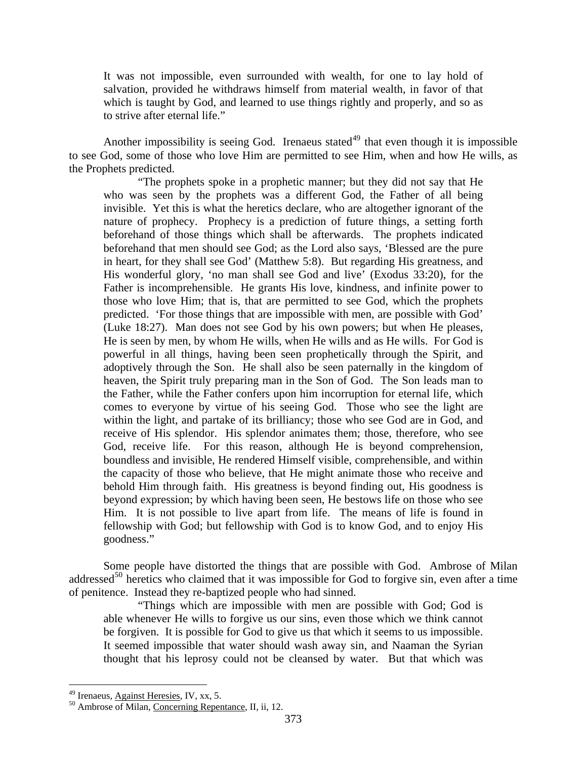It was not impossible, even surrounded with wealth, for one to lay hold of salvation, provided he withdraws himself from material wealth, in favor of that which is taught by God, and learned to use things rightly and properly, and so as to strive after eternal life."

Another impossibility is seeing God. Irenaeus stated<sup>[49](#page-28-0)</sup> that even though it is impossible to see God, some of those who love Him are permitted to see Him, when and how He wills, as the Prophets predicted.

"The prophets spoke in a prophetic manner; but they did not say that He who was seen by the prophets was a different God, the Father of all being invisible. Yet this is what the heretics declare, who are altogether ignorant of the nature of prophecy. Prophecy is a prediction of future things, a setting forth beforehand of those things which shall be afterwards. The prophets indicated beforehand that men should see God; as the Lord also says, 'Blessed are the pure in heart, for they shall see God' (Matthew 5:8). But regarding His greatness, and His wonderful glory, 'no man shall see God and live' (Exodus 33:20), for the Father is incomprehensible. He grants His love, kindness, and infinite power to those who love Him; that is, that are permitted to see God, which the prophets predicted. 'For those things that are impossible with men, are possible with God' (Luke 18:27). Man does not see God by his own powers; but when He pleases, He is seen by men, by whom He wills, when He wills and as He wills. For God is powerful in all things, having been seen prophetically through the Spirit, and adoptively through the Son. He shall also be seen paternally in the kingdom of heaven, the Spirit truly preparing man in the Son of God. The Son leads man to the Father, while the Father confers upon him incorruption for eternal life, which comes to everyone by virtue of his seeing God. Those who see the light are within the light, and partake of its brilliancy; those who see God are in God, and receive of His splendor. His splendor animates them; those, therefore, who see God, receive life. For this reason, although He is beyond comprehension, boundless and invisible, He rendered Himself visible, comprehensible, and within the capacity of those who believe, that He might animate those who receive and behold Him through faith. His greatness is beyond finding out, His goodness is beyond expression; by which having been seen, He bestows life on those who see Him. It is not possible to live apart from life. The means of life is found in fellowship with God; but fellowship with God is to know God, and to enjoy His goodness."

Some people have distorted the things that are possible with God. Ambrose of Milan addressed $50$  heretics who claimed that it was impossible for God to forgive sin, even after a time of penitence. Instead they re-baptized people who had sinned.

"Things which are impossible with men are possible with God; God is able whenever He wills to forgive us our sins, even those which we think cannot be forgiven. It is possible for God to give us that which it seems to us impossible. It seemed impossible that water should wash away sin, and Naaman the Syrian thought that his leprosy could not be cleansed by water. But that which was

<span id="page-28-0"></span><sup>&</sup>lt;sup>49</sup> Irenaeus, Against Heresies, IV, xx, 5.

<span id="page-28-1"></span> $50$  Ambrose of Milan, Concerning Repentance, II, ii, 12.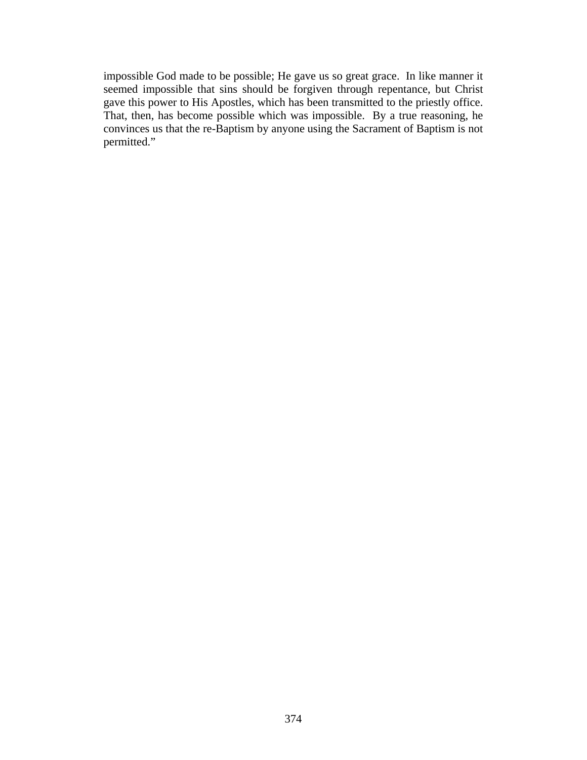impossible God made to be possible; He gave us so great grace. In like manner it seemed impossible that sins should be forgiven through repentance, but Christ gave this power to His Apostles, which has been transmitted to the priestly office. That, then, has become possible which was impossible. By a true reasoning, he convinces us that the re-Baptism by anyone using the Sacrament of Baptism is not permitted."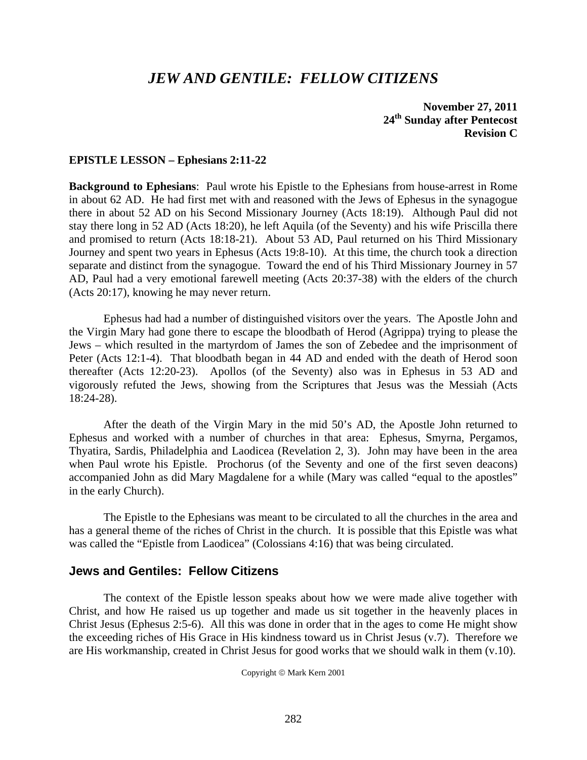# *JEW AND GENTILE: FELLOW CITIZENS*

# **November 27, 2011 24th Sunday after Pentecost Revision C**

#### **EPISTLE LESSON – Ephesians 2:11-22**

**Background to Ephesians**: Paul wrote his Epistle to the Ephesians from house-arrest in Rome in about 62 AD. He had first met with and reasoned with the Jews of Ephesus in the synagogue there in about 52 AD on his Second Missionary Journey (Acts 18:19). Although Paul did not stay there long in 52 AD (Acts 18:20), he left Aquila (of the Seventy) and his wife Priscilla there and promised to return (Acts 18:18-21). About 53 AD, Paul returned on his Third Missionary Journey and spent two years in Ephesus (Acts 19:8-10). At this time, the church took a direction separate and distinct from the synagogue. Toward the end of his Third Missionary Journey in 57 AD, Paul had a very emotional farewell meeting (Acts 20:37-38) with the elders of the church (Acts 20:17), knowing he may never return.

 Ephesus had had a number of distinguished visitors over the years. The Apostle John and the Virgin Mary had gone there to escape the bloodbath of Herod (Agrippa) trying to please the Jews – which resulted in the martyrdom of James the son of Zebedee and the imprisonment of Peter (Acts 12:1-4). That bloodbath began in 44 AD and ended with the death of Herod soon thereafter (Acts 12:20-23). Apollos (of the Seventy) also was in Ephesus in 53 AD and vigorously refuted the Jews, showing from the Scriptures that Jesus was the Messiah (Acts 18:24-28).

 After the death of the Virgin Mary in the mid 50's AD, the Apostle John returned to Ephesus and worked with a number of churches in that area: Ephesus, Smyrna, Pergamos, Thyatira, Sardis, Philadelphia and Laodicea (Revelation 2, 3). John may have been in the area when Paul wrote his Epistle. Prochorus (of the Seventy and one of the first seven deacons) accompanied John as did Mary Magdalene for a while (Mary was called "equal to the apostles" in the early Church).

 The Epistle to the Ephesians was meant to be circulated to all the churches in the area and has a general theme of the riches of Christ in the church. It is possible that this Epistle was what was called the "Epistle from Laodicea" (Colossians 4:16) that was being circulated.

# **Jews and Gentiles: Fellow Citizens**

 The context of the Epistle lesson speaks about how we were made alive together with Christ, and how He raised us up together and made us sit together in the heavenly places in Christ Jesus (Ephesus 2:5-6). All this was done in order that in the ages to come He might show the exceeding riches of His Grace in His kindness toward us in Christ Jesus (v.7). Therefore we are His workmanship, created in Christ Jesus for good works that we should walk in them (v.10).

Copyright © Mark Kern 2001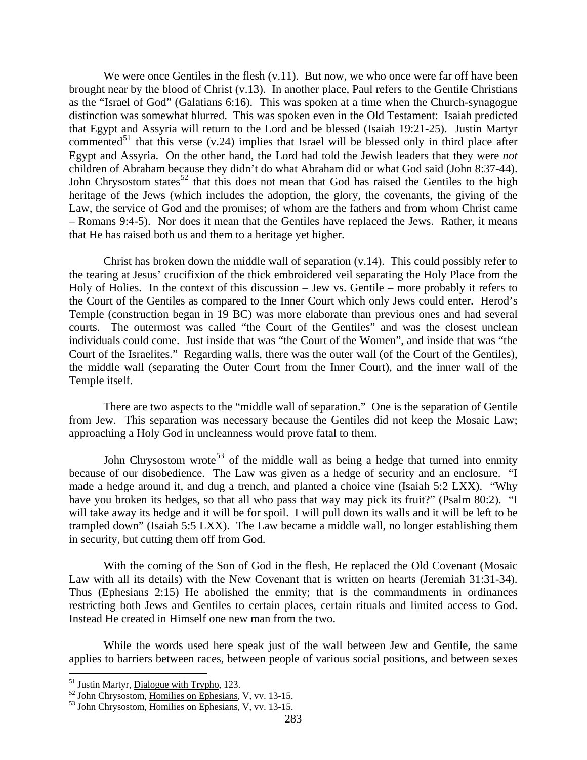We were once Gentiles in the flesh  $(v, 11)$ . But now, we who once were far off have been brought near by the blood of Christ (v.13). In another place, Paul refers to the Gentile Christians as the "Israel of God" (Galatians 6:16). This was spoken at a time when the Church-synagogue distinction was somewhat blurred. This was spoken even in the Old Testament: Isaiah predicted that Egypt and Assyria will return to the Lord and be blessed (Isaiah 19:21-25). Justin Martyr commented<sup>[51](#page-31-0)</sup> that this verse (v.24) implies that Israel will be blessed only in third place after Egypt and Assyria. On the other hand, the Lord had told the Jewish leaders that they were *not* children of Abraham because they didn't do what Abraham did or what God said (John 8:37-44). John Chrysostom states<sup>[52](#page-31-1)</sup> that this does not mean that God has raised the Gentiles to the high heritage of the Jews (which includes the adoption, the glory, the covenants, the giving of the Law, the service of God and the promises; of whom are the fathers and from whom Christ came – Romans 9:4-5). Nor does it mean that the Gentiles have replaced the Jews. Rather, it means that He has raised both us and them to a heritage yet higher.

 Christ has broken down the middle wall of separation (v.14). This could possibly refer to the tearing at Jesus' crucifixion of the thick embroidered veil separating the Holy Place from the Holy of Holies. In the context of this discussion – Jew vs. Gentile – more probably it refers to the Court of the Gentiles as compared to the Inner Court which only Jews could enter. Herod's Temple (construction began in 19 BC) was more elaborate than previous ones and had several courts. The outermost was called "the Court of the Gentiles" and was the closest unclean individuals could come. Just inside that was "the Court of the Women", and inside that was "the Court of the Israelites." Regarding walls, there was the outer wall (of the Court of the Gentiles), the middle wall (separating the Outer Court from the Inner Court), and the inner wall of the Temple itself.

 There are two aspects to the "middle wall of separation." One is the separation of Gentile from Jew. This separation was necessary because the Gentiles did not keep the Mosaic Law; approaching a Holy God in uncleanness would prove fatal to them.

John Chrysostom wrote<sup>[53](#page-31-2)</sup> of the middle wall as being a hedge that turned into enmity because of our disobedience. The Law was given as a hedge of security and an enclosure. "I made a hedge around it, and dug a trench, and planted a choice vine (Isaiah 5:2 LXX). "Why have you broken its hedges, so that all who pass that way may pick its fruit?" (Psalm 80:2). "I will take away its hedge and it will be for spoil. I will pull down its walls and it will be left to be trampled down" (Isaiah 5:5 LXX). The Law became a middle wall, no longer establishing them in security, but cutting them off from God.

 With the coming of the Son of God in the flesh, He replaced the Old Covenant (Mosaic Law with all its details) with the New Covenant that is written on hearts (Jeremiah 31:31-34). Thus (Ephesians 2:15) He abolished the enmity; that is the commandments in ordinances restricting both Jews and Gentiles to certain places, certain rituals and limited access to God. Instead He created in Himself one new man from the two.

 While the words used here speak just of the wall between Jew and Gentile, the same applies to barriers between races, between people of various social positions, and between sexes

<span id="page-31-1"></span><span id="page-31-0"></span>

<sup>&</sup>lt;sup>51</sup> Justin Martyr, <u>Dialogue with Trypho</u>, 123.<br><sup>52</sup> John Chrysostom, <u>Homilies on Ephesians</u>, V, vv. 13-15.<br><sup>53</sup> John Chrysostom, <u>Homilies on Ephesians</u>, V, vv. 13-15.

<span id="page-31-2"></span>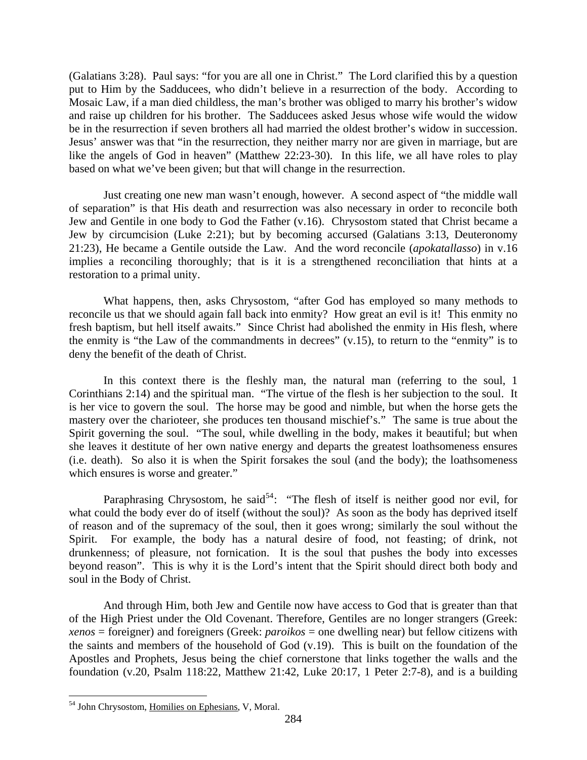(Galatians 3:28). Paul says: "for you are all one in Christ." The Lord clarified this by a question put to Him by the Sadducees, who didn't believe in a resurrection of the body. According to Mosaic Law, if a man died childless, the man's brother was obliged to marry his brother's widow and raise up children for his brother. The Sadducees asked Jesus whose wife would the widow be in the resurrection if seven brothers all had married the oldest brother's widow in succession. Jesus' answer was that "in the resurrection, they neither marry nor are given in marriage, but are like the angels of God in heaven" (Matthew 22:23-30). In this life, we all have roles to play based on what we've been given; but that will change in the resurrection.

 Just creating one new man wasn't enough, however. A second aspect of "the middle wall of separation" is that His death and resurrection was also necessary in order to reconcile both Jew and Gentile in one body to God the Father (v.16). Chrysostom stated that Christ became a Jew by circumcision (Luke 2:21); but by becoming accursed (Galatians 3:13, Deuteronomy 21:23), He became a Gentile outside the Law. And the word reconcile (*apokatallasso*) in v.16 implies a reconciling thoroughly; that is it is a strengthened reconciliation that hints at a restoration to a primal unity.

 What happens, then, asks Chrysostom, "after God has employed so many methods to reconcile us that we should again fall back into enmity? How great an evil is it! This enmity no fresh baptism, but hell itself awaits." Since Christ had abolished the enmity in His flesh, where the enmity is "the Law of the commandments in decrees" (v.15), to return to the "enmity" is to deny the benefit of the death of Christ.

 In this context there is the fleshly man, the natural man (referring to the soul, 1 Corinthians 2:14) and the spiritual man. "The virtue of the flesh is her subjection to the soul. It is her vice to govern the soul. The horse may be good and nimble, but when the horse gets the mastery over the charioteer, she produces ten thousand mischief's." The same is true about the Spirit governing the soul. "The soul, while dwelling in the body, makes it beautiful; but when she leaves it destitute of her own native energy and departs the greatest loathsomeness ensures (i.e. death). So also it is when the Spirit forsakes the soul (and the body); the loathsomeness which ensures is worse and greater."

soul in the Body of Christ. Paraphrasing Chrysostom, he said<sup>[54](#page-32-0)</sup>: "The flesh of itself is neither good nor evil, for what could the body ever do of itself (without the soul)? As soon as the body has deprived itself of reason and of the supremacy of the soul, then it goes wrong; similarly the soul without the Spirit. For example, the body has a natural desire of food, not feasting; of drink, not drunkenness; of pleasure, not fornication. It is the soul that pushes the body into excesses beyond reason". This is why it is the Lord's intent that the Spirit should direct both body and

 And through Him, both Jew and Gentile now have access to God that is greater than that of the High Priest under the Old Covenant. Therefore, Gentiles are no longer strangers (Greek: *xenos* = foreigner) and foreigners (Greek: *paroikos* = one dwelling near) but fellow citizens with the saints and members of the household of God (v.19). This is built on the foundation of the Apostles and Prophets, Jesus being the chief cornerstone that links together the walls and the foundation (v.20, Psalm 118:22, Matthew 21:42, Luke 20:17, 1 Peter 2:7-8), and is a building

<span id="page-32-0"></span><sup>54</sup> John Chrysostom, Homilies on Ephesians, V, Moral.